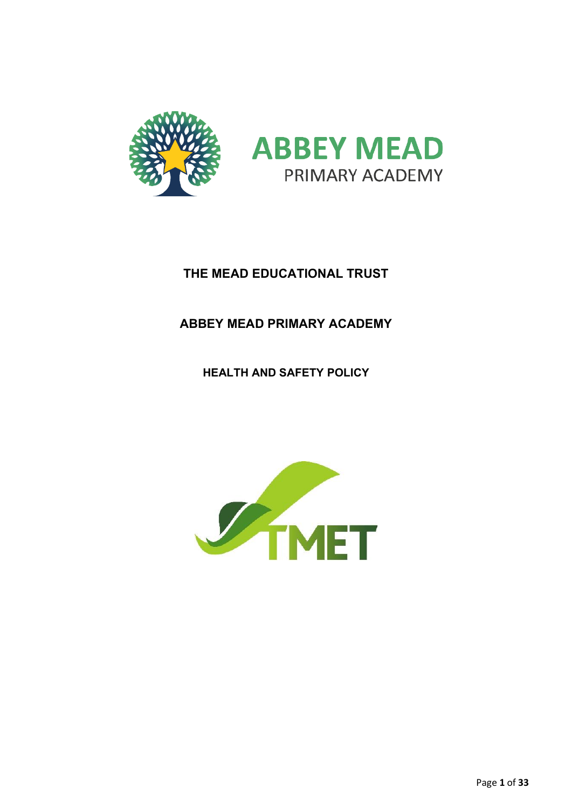

# **THE MEAD EDUCATIONAL TRUST**

# **ABBEY MEAD PRIMARY ACADEMY**

**HEALTH AND SAFETY POLICY**

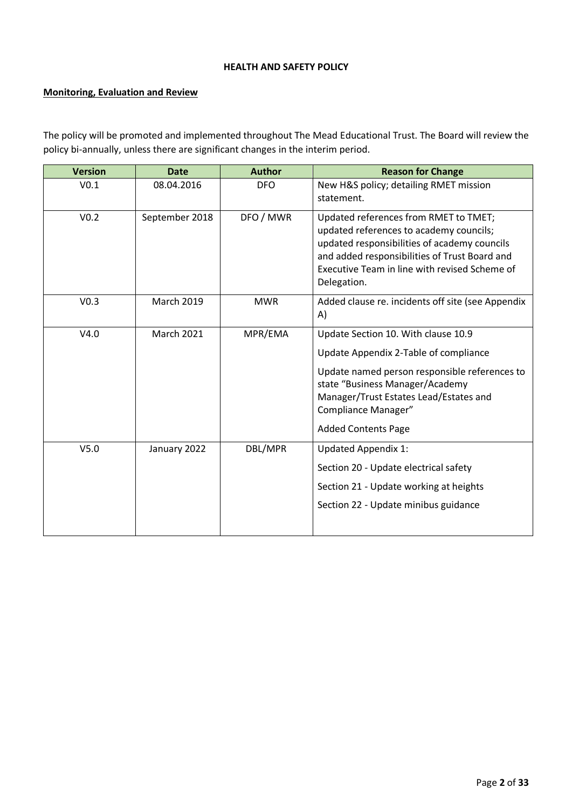# **HEALTH AND SAFETY POLICY**

# **Monitoring, Evaluation and Review**

The policy will be promoted and implemented throughout The Mead Educational Trust. The Board will review the policy bi-annually, unless there are significant changes in the interim period.

| <b>Version</b>   | <b>Date</b>       | <b>Author</b> | <b>Reason for Change</b>                                                                                                                                                                                                                                        |
|------------------|-------------------|---------------|-----------------------------------------------------------------------------------------------------------------------------------------------------------------------------------------------------------------------------------------------------------------|
| V <sub>0.1</sub> | 08.04.2016        | <b>DFO</b>    | New H&S policy; detailing RMET mission<br>statement.                                                                                                                                                                                                            |
| V <sub>0.2</sub> | September 2018    | DFO / MWR     | Updated references from RMET to TMET;<br>updated references to academy councils;<br>updated responsibilities of academy councils<br>and added responsibilities of Trust Board and<br>Executive Team in line with revised Scheme of<br>Delegation.               |
| V <sub>0.3</sub> | <b>March 2019</b> | <b>MWR</b>    | Added clause re. incidents off site (see Appendix<br>A)                                                                                                                                                                                                         |
| V4.0             | <b>March 2021</b> | MPR/EMA       | Update Section 10. With clause 10.9<br>Update Appendix 2-Table of compliance<br>Update named person responsible references to<br>state "Business Manager/Academy<br>Manager/Trust Estates Lead/Estates and<br>Compliance Manager"<br><b>Added Contents Page</b> |
| V <sub>5.0</sub> | January 2022      | DBL/MPR       | <b>Updated Appendix 1:</b><br>Section 20 - Update electrical safety<br>Section 21 - Update working at heights<br>Section 22 - Update minibus guidance                                                                                                           |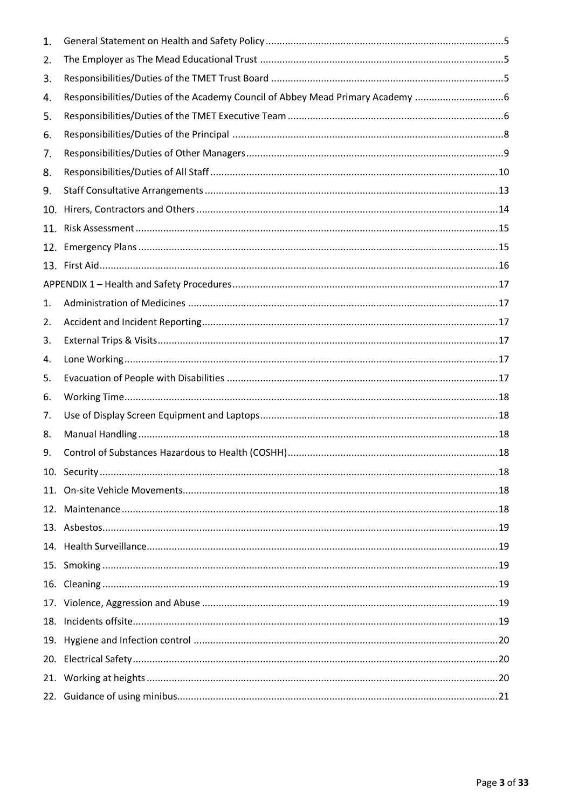| 1.  |                                                                              |
|-----|------------------------------------------------------------------------------|
| 2.  |                                                                              |
| 3.  |                                                                              |
| 4.  | Responsibilities/Duties of the Academy Council of Abbey Mead Primary Academy |
| 5.  |                                                                              |
| 6.  |                                                                              |
| 7.  |                                                                              |
| 8.  |                                                                              |
| 9.  |                                                                              |
| 10. |                                                                              |
| 11. |                                                                              |
| 12. |                                                                              |
|     |                                                                              |
|     |                                                                              |
| 1.  |                                                                              |
| 2.  |                                                                              |
| 3.  |                                                                              |
| 4.  |                                                                              |
| 5.  |                                                                              |
| 6.  |                                                                              |
| 7.  |                                                                              |
| 8.  |                                                                              |
| 9.  |                                                                              |
|     |                                                                              |
|     |                                                                              |
| 12. |                                                                              |
|     |                                                                              |
|     |                                                                              |
| 15. |                                                                              |
|     |                                                                              |
|     |                                                                              |
| 18. |                                                                              |
| 19. |                                                                              |
|     |                                                                              |
|     |                                                                              |
|     |                                                                              |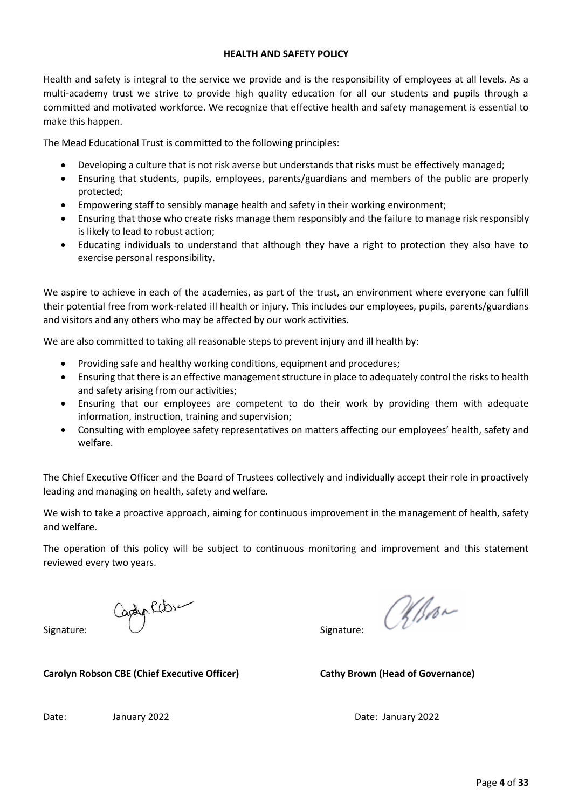#### **HEALTH AND SAFETY POLICY**

Health and safety is integral to the service we provide and is the responsibility of employees at all levels. As a multi-academy trust we strive to provide high quality education for all our students and pupils through a committed and motivated workforce. We recognize that effective health and safety management is essential to make this happen.

The Mead Educational Trust is committed to the following principles:

- Developing a culture that is not risk averse but understands that risks must be effectively managed;
- Ensuring that students, pupils, employees, parents/guardians and members of the public are properly protected;
- Empowering staff to sensibly manage health and safety in their working environment;
- Ensuring that those who create risks manage them responsibly and the failure to manage risk responsibly is likely to lead to robust action;
- Educating individuals to understand that although they have a right to protection they also have to exercise personal responsibility.

We aspire to achieve in each of the academies, as part of the trust, an environment where everyone can fulfill their potential free from work-related ill health or injury. This includes our employees, pupils, parents/guardians and visitors and any others who may be affected by our work activities.

We are also committed to taking all reasonable steps to prevent injury and ill health by:

- Providing safe and healthy working conditions, equipment and procedures;
- Ensuring that there is an effective management structure in place to adequately control the risks to health and safety arising from our activities;
- Ensuring that our employees are competent to do their work by providing them with adequate information, instruction, training and supervision;
- Consulting with employee safety representatives on matters affecting our employees' health, safety and welfare.

The Chief Executive Officer and the Board of Trustees collectively and individually accept their role in proactively leading and managing on health, safety and welfare.

We wish to take a proactive approach, aiming for continuous improvement in the management of health, safety and welfare.

The operation of this policy will be subject to continuous monitoring and improvement and this statement reviewed every two years.

Signature: Signature:

albour

**Carolyn Robson CBE (Chief Executive Officer) Cathy Brown (Head of Governance)**

Date: January 2022 Date: January 2022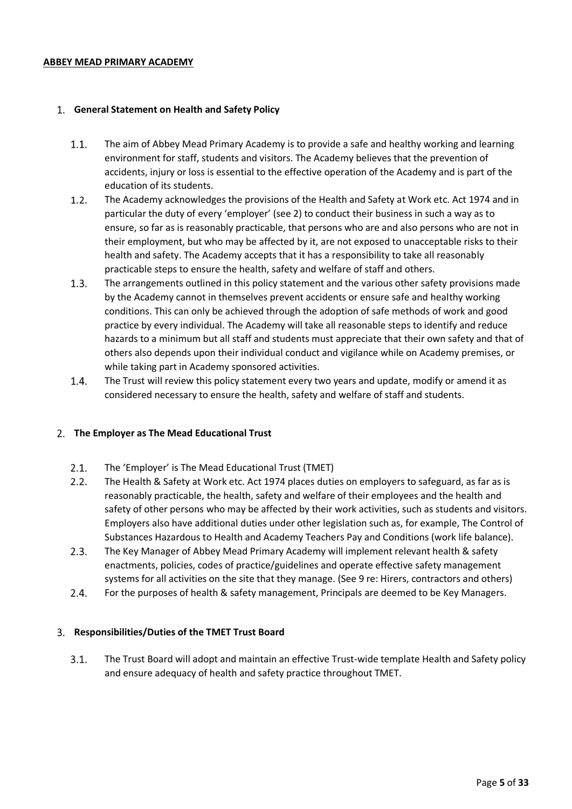#### **ABBEY MEAD PRIMARY ACADEMY**

#### <span id="page-4-0"></span>**General Statement on Health and Safety Policy**

- $1.1.$ The aim of Abbey Mead Primary Academy is to provide a safe and healthy working and learning environment for staff, students and visitors. The Academy believes that the prevention of accidents, injury or loss is essential to the effective operation of the Academy and is part of the education of its students.
- $1.2.$ The Academy acknowledges the provisions of the Health and Safety at Work etc. Act 1974 and in particular the duty of every 'employer' (see 2) to conduct their business in such a way as to ensure, so far as is reasonably practicable, that persons who are and also persons who are not in their employment, but who may be affected by it, are not exposed to unacceptable risks to their health and safety. The Academy accepts that it has a responsibility to take all reasonably practicable steps to ensure the health, safety and welfare of staff and others.
- $1.3.$ The arrangements outlined in this policy statement and the various other safety provisions made by the Academy cannot in themselves prevent accidents or ensure safe and healthy working conditions. This can only be achieved through the adoption of safe methods of work and good practice by every individual. The Academy will take all reasonable steps to identify and reduce hazards to a minimum but all staff and students must appreciate that their own safety and that of others also depends upon their individual conduct and vigilance while on Academy premises, or while taking part in Academy sponsored activities.
- $1.4.$ The Trust will review this policy statement every two years and update, modify or amend it as considered necessary to ensure the health, safety and welfare of staff and students.

#### <span id="page-4-1"></span>**The Employer as The Mead Educational Trust**

- $2.1.$ The 'Employer' is The Mead Educational Trust (TMET)
- $2.2.$ The Health & Safety at Work etc. Act 1974 places duties on employers to safeguard, as far as is reasonably practicable, the health, safety and welfare of their employees and the health and safety of other persons who may be affected by their work activities, such as students and visitors. Employers also have additional duties under other legislation such as, for example, The Control of Substances Hazardous to Health and Academy Teachers Pay and Conditions (work life balance).
- $2.3.$ The Key Manager of Abbey Mead Primary Academy will implement relevant health & safety enactments, policies, codes of practice/guidelines and operate effective safety management systems for all activities on the site that they manage. (See 9 re: Hirers, contractors and others)
- $2.4.$ For the purposes of health & safety management, Principals are deemed to be Key Managers.

# <span id="page-4-2"></span>**Responsibilities/Duties of the TMET Trust Board**

 $3.1.$ The Trust Board will adopt and maintain an effective Trust-wide template Health and Safety policy and ensure adequacy of health and safety practice throughout TMET.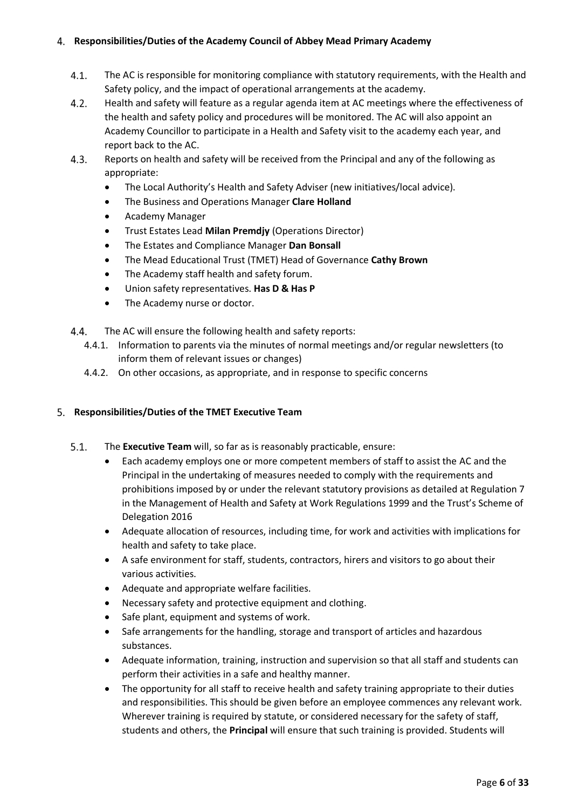# <span id="page-5-0"></span>**Responsibilities/Duties of the Academy Council of Abbey Mead Primary Academy**

- $4.1.$ The AC is responsible for monitoring compliance with statutory requirements, with the Health and Safety policy, and the impact of operational arrangements at the academy.
- $4.2.$ Health and safety will feature as a regular agenda item at AC meetings where the effectiveness of the health and safety policy and procedures will be monitored. The AC will also appoint an Academy Councillor to participate in a Health and Safety visit to the academy each year, and report back to the AC.
- $4.3.$ Reports on health and safety will be received from the Principal and any of the following as appropriate:
	- The Local Authority's Health and Safety Adviser (new initiatives/local advice).
	- The Business and Operations Manager **Clare Holland**
	- Academy Manager
	- Trust Estates Lead **Milan Premdjy** (Operations Director)
	- The Estates and Compliance Manager **Dan Bonsall**
	- The Mead Educational Trust (TMET) Head of Governance **Cathy Brown**
	- The Academy staff health and safety forum.
	- Union safety representatives. **Has D & Has P**
	- The Academy nurse or doctor.
- 4.4. The AC will ensure the following health and safety reports:
	- 4.4.1. Information to parents via the minutes of normal meetings and/or regular newsletters (to inform them of relevant issues or changes)
	- 4.4.2. On other occasions, as appropriate, and in response to specific concerns

# <span id="page-5-1"></span>**Responsibilities/Duties of the TMET Executive Team**

- $5.1.$ The **Executive Team** will, so far as is reasonably practicable, ensure:
	- Each academy employs one or more competent members of staff to assist the AC and the Principal in the undertaking of measures needed to comply with the requirements and prohibitions imposed by or under the relevant statutory provisions as detailed at Regulation 7 in the Management of Health and Safety at Work Regulations 1999 and the Trust's Scheme of Delegation 2016
	- Adequate allocation of resources, including time, for work and activities with implications for health and safety to take place.
	- A safe environment for staff, students, contractors, hirers and visitors to go about their various activities.
	- Adequate and appropriate welfare facilities.
	- Necessary safety and protective equipment and clothing.
	- Safe plant, equipment and systems of work.
	- Safe arrangements for the handling, storage and transport of articles and hazardous substances.
	- Adequate information, training, instruction and supervision so that all staff and students can perform their activities in a safe and healthy manner.
	- The opportunity for all staff to receive health and safety training appropriate to their duties and responsibilities. This should be given before an employee commences any relevant work. Wherever training is required by statute, or considered necessary for the safety of staff, students and others, the **Principal** will ensure that such training is provided. Students will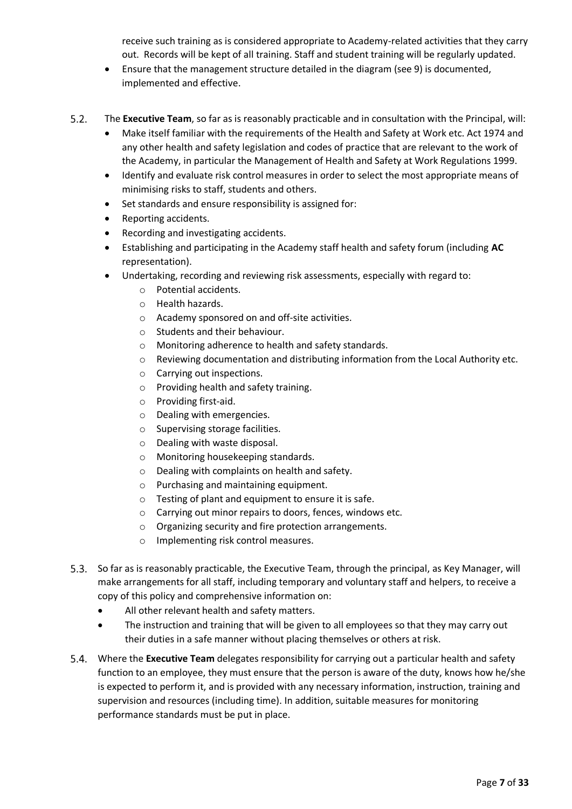receive such training as is considered appropriate to Academy-related activities that they carry out. Records will be kept of all training. Staff and student training will be regularly updated.

- Ensure that the management structure detailed in the diagram (see 9) is documented, implemented and effective.
- $5.2.$ The **Executive Team**, so far as is reasonably practicable and in consultation with the Principal, will:
	- Make itself familiar with the requirements of the Health and Safety at Work etc. Act 1974 and any other health and safety legislation and codes of practice that are relevant to the work of the Academy, in particular the Management of Health and Safety at Work Regulations 1999.
	- Identify and evaluate risk control measures in order to select the most appropriate means of minimising risks to staff, students and others.
	- Set standards and ensure responsibility is assigned for:
	- Reporting accidents.
	- Recording and investigating accidents.
	- Establishing and participating in the Academy staff health and safety forum (including **AC**  representation).
	- Undertaking, recording and reviewing risk assessments, especially with regard to:
		- o Potential accidents.
		- o Health hazards.
		- o Academy sponsored on and off-site activities.
		- o Students and their behaviour.
		- o Monitoring adherence to health and safety standards.
		- $\circ$  Reviewing documentation and distributing information from the Local Authority etc.
		- o Carrying out inspections.
		- o Providing health and safety training.
		- o Providing first-aid.
		- o Dealing with emergencies.
		- o Supervising storage facilities.
		- o Dealing with waste disposal.
		- o Monitoring housekeeping standards.
		- o Dealing with complaints on health and safety.
		- o Purchasing and maintaining equipment.
		- o Testing of plant and equipment to ensure it is safe.
		- o Carrying out minor repairs to doors, fences, windows etc.
		- o Organizing security and fire protection arrangements.
		- o Implementing risk control measures.
- 5.3. So far as is reasonably practicable, the Executive Team, through the principal, as Key Manager, will make arrangements for all staff, including temporary and voluntary staff and helpers, to receive a copy of this policy and comprehensive information on:
	- All other relevant health and safety matters.
	- The instruction and training that will be given to all employees so that they may carry out their duties in a safe manner without placing themselves or others at risk.
- $5.4.$ Where the **Executive Team** delegates responsibility for carrying out a particular health and safety function to an employee, they must ensure that the person is aware of the duty, knows how he/she is expected to perform it, and is provided with any necessary information, instruction, training and supervision and resources (including time). In addition, suitable measures for monitoring performance standards must be put in place.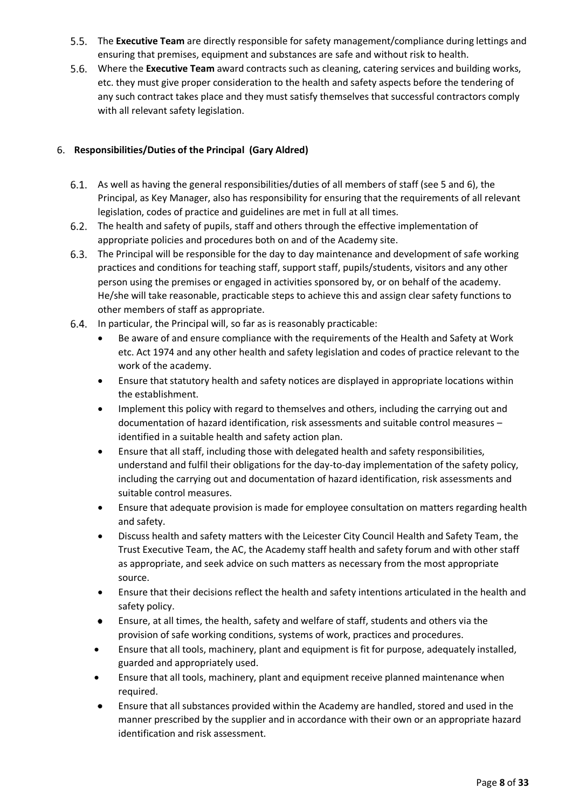- The **Executive Team** are directly responsible for safety management/compliance during lettings and ensuring that premises, equipment and substances are safe and without risk to health.
- Where the **Executive Team** award contracts such as cleaning, catering services and building works, etc. they must give proper consideration to the health and safety aspects before the tendering of any such contract takes place and they must satisfy themselves that successful contractors comply with all relevant safety legislation.

# <span id="page-7-0"></span>**Responsibilities/Duties of the Principal (Gary Aldred)**

- As well as having the general responsibilities/duties of all members of staff (see 5 and 6), the Principal, as Key Manager, also has responsibility for ensuring that the requirements of all relevant legislation, codes of practice and guidelines are met in full at all times.
- The health and safety of pupils, staff and others through the effective implementation of appropriate policies and procedures both on and of the Academy site.
- The Principal will be responsible for the day to day maintenance and development of safe working practices and conditions for teaching staff, support staff, pupils/students, visitors and any other person using the premises or engaged in activities sponsored by, or on behalf of the academy. He/she will take reasonable, practicable steps to achieve this and assign clear safety functions to other members of staff as appropriate.
- 6.4. In particular, the Principal will, so far as is reasonably practicable:
	- Be aware of and ensure compliance with the requirements of the Health and Safety at Work etc. Act 1974 and any other health and safety legislation and codes of practice relevant to the work of the academy.
	- Ensure that statutory health and safety notices are displayed in appropriate locations within the establishment.
	- Implement this policy with regard to themselves and others, including the carrying out and documentation of hazard identification, risk assessments and suitable control measures – identified in a suitable health and safety action plan.
	- Ensure that all staff, including those with delegated health and safety responsibilities, understand and fulfil their obligations for the day-to-day implementation of the safety policy, including the carrying out and documentation of hazard identification, risk assessments and suitable control measures.
	- Ensure that adequate provision is made for employee consultation on matters regarding health and safety.
	- Discuss health and safety matters with the Leicester City Council Health and Safety Team, the Trust Executive Team, the AC, the Academy staff health and safety forum and with other staff as appropriate, and seek advice on such matters as necessary from the most appropriate source.
	- Ensure that their decisions reflect the health and safety intentions articulated in the health and safety policy.
	- Ensure, at all times, the health, safety and welfare of staff, students and others via the provision of safe working conditions, systems of work, practices and procedures.
	- Ensure that all tools, machinery, plant and equipment is fit for purpose, adequately installed, guarded and appropriately used.
	- Ensure that all tools, machinery, plant and equipment receive planned maintenance when required.
	- Ensure that all substances provided within the Academy are handled, stored and used in the manner prescribed by the supplier and in accordance with their own or an appropriate hazard identification and risk assessment.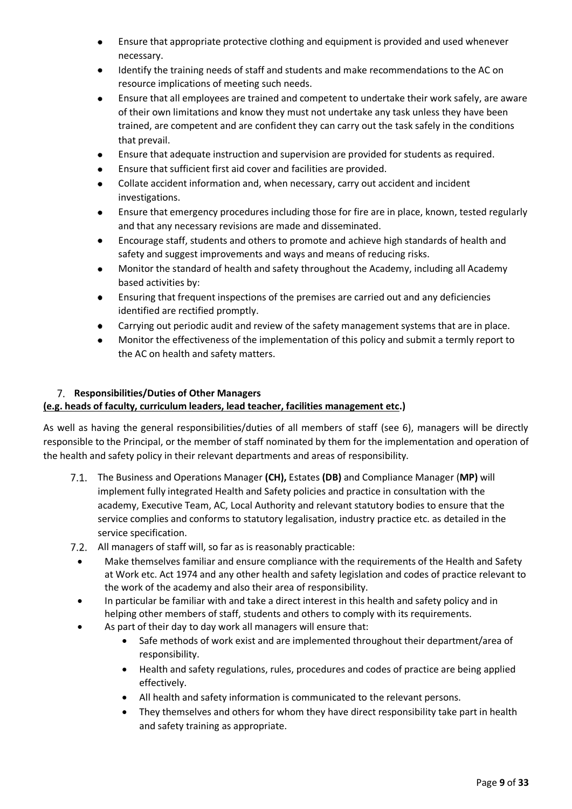- Ensure that appropriate protective clothing and equipment is provided and used whenever necessary.
- Identify the training needs of staff and students and make recommendations to the AC on resource implications of meeting such needs.
- Ensure that all employees are trained and competent to undertake their work safely, are aware  $\bullet$ of their own limitations and know they must not undertake any task unless they have been trained, are competent and are confident they can carry out the task safely in the conditions that prevail.
- Ensure that adequate instruction and supervision are provided for students as required.
- $\bullet$ Ensure that sufficient first aid cover and facilities are provided.
- Collate accident information and, when necessary, carry out accident and incident investigations.
- Ensure that emergency procedures including those for fire are in place, known, tested regularly  $\bullet$ and that any necessary revisions are made and disseminated.
- Encourage staff, students and others to promote and achieve high standards of health and safety and suggest improvements and ways and means of reducing risks.
- Monitor the standard of health and safety throughout the Academy, including all Academy  $\bullet$ based activities by:
- Ensuring that frequent inspections of the premises are carried out and any deficiencies identified are rectified promptly.
- Carrying out periodic audit and review of the safety management systems that are in place.
- Monitor the effectiveness of the implementation of this policy and submit a termly report to the AC on health and safety matters.

# <span id="page-8-0"></span>**Responsibilities/Duties of Other Managers**

# **(e.g. heads of faculty, curriculum leaders, lead teacher, facilities management etc.)**

As well as having the general responsibilities/duties of all members of staff (see 6), managers will be directly responsible to the Principal, or the member of staff nominated by them for the implementation and operation of the health and safety policy in their relevant departments and areas of responsibility.

- The Business and Operations Manager **(CH),** Estates **(DB)** and Compliance Manager (**MP)** will implement fully integrated Health and Safety policies and practice in consultation with the academy, Executive Team, AC, Local Authority and relevant statutory bodies to ensure that the service complies and conforms to statutory legalisation, industry practice etc. as detailed in the service specification.
- 7.2. All managers of staff will, so far as is reasonably practicable:
	- Make themselves familiar and ensure compliance with the requirements of the Health and Safety at Work etc. Act 1974 and any other health and safety legislation and codes of practice relevant to the work of the academy and also their area of responsibility.
	- In particular be familiar with and take a direct interest in this health and safety policy and in helping other members of staff, students and others to comply with its requirements.
	- As part of their day to day work all managers will ensure that:
		- Safe methods of work exist and are implemented throughout their department/area of responsibility.
		- Health and safety regulations, rules, procedures and codes of practice are being applied effectively.
		- All health and safety information is communicated to the relevant persons.
		- They themselves and others for whom they have direct responsibility take part in health and safety training as appropriate.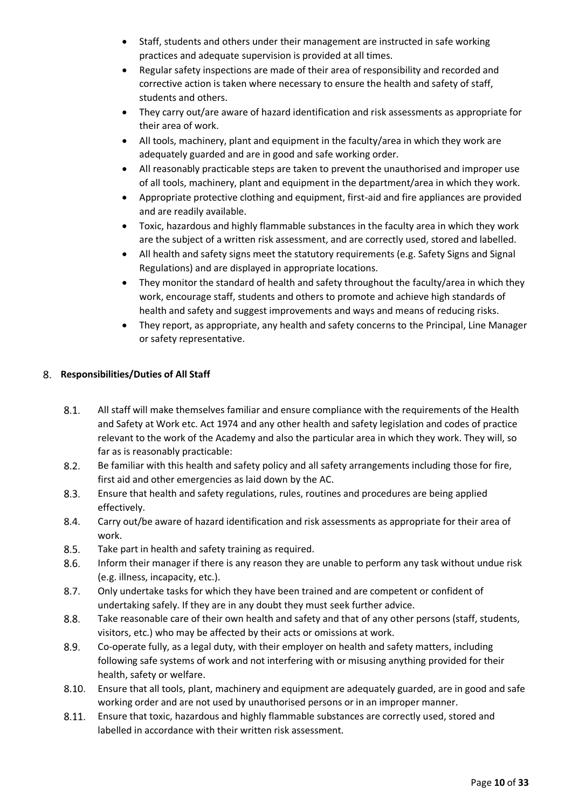- Staff, students and others under their management are instructed in safe working practices and adequate supervision is provided at all times.
- Regular safety inspections are made of their area of responsibility and recorded and corrective action is taken where necessary to ensure the health and safety of staff, students and others.
- They carry out/are aware of hazard identification and risk assessments as appropriate for their area of work.
- All tools, machinery, plant and equipment in the faculty/area in which they work are adequately guarded and are in good and safe working order.
- All reasonably practicable steps are taken to prevent the unauthorised and improper use of all tools, machinery, plant and equipment in the department/area in which they work.
- Appropriate protective clothing and equipment, first-aid and fire appliances are provided and are readily available.
- Toxic, hazardous and highly flammable substances in the faculty area in which they work are the subject of a written risk assessment, and are correctly used, stored and labelled.
- All health and safety signs meet the statutory requirements (e.g. Safety Signs and Signal Regulations) and are displayed in appropriate locations.
- They monitor the standard of health and safety throughout the faculty/area in which they work, encourage staff, students and others to promote and achieve high standards of health and safety and suggest improvements and ways and means of reducing risks.
- <span id="page-9-0"></span>• They report, as appropriate, any health and safety concerns to the Principal, Line Manager or safety representative.

# **Responsibilities/Duties of All Staff**

- $8.1.$ All staff will make themselves familiar and ensure compliance with the requirements of the Health and Safety at Work etc. Act 1974 and any other health and safety legislation and codes of practice relevant to the work of the Academy and also the particular area in which they work. They will, so far as is reasonably practicable:
- $8.2.$ Be familiar with this health and safety policy and all safety arrangements including those for fire, first aid and other emergencies as laid down by the AC.
- $8.3.$ Ensure that health and safety regulations, rules, routines and procedures are being applied effectively.
- 8.4. Carry out/be aware of hazard identification and risk assessments as appropriate for their area of work.
- $8.5.$ Take part in health and safety training as required.
- 8.6. Inform their manager if there is any reason they are unable to perform any task without undue risk (e.g. illness, incapacity, etc.).
- $8.7.$ Only undertake tasks for which they have been trained and are competent or confident of undertaking safely. If they are in any doubt they must seek further advice.
- 8.8. Take reasonable care of their own health and safety and that of any other persons (staff, students, visitors, etc.) who may be affected by their acts or omissions at work.
- 8.9. Co-operate fully, as a legal duty, with their employer on health and safety matters, including following safe systems of work and not interfering with or misusing anything provided for their health, safety or welfare.
- $8.10.$ Ensure that all tools, plant, machinery and equipment are adequately guarded, are in good and safe working order and are not used by unauthorised persons or in an improper manner.
- 8.11. Ensure that toxic, hazardous and highly flammable substances are correctly used, stored and labelled in accordance with their written risk assessment.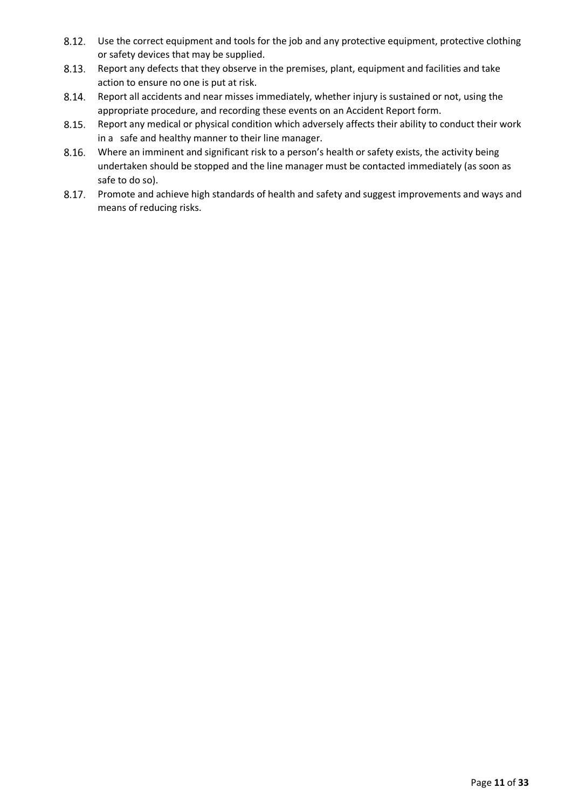- Use the correct equipment and tools for the job and any protective equipment, protective clothing 8.12. or safety devices that may be supplied.
- $8.13.$ Report any defects that they observe in the premises, plant, equipment and facilities and take action to ensure no one is put at risk.
- 8.14. Report all accidents and near misses immediately, whether injury is sustained or not, using the appropriate procedure, and recording these events on an Accident Report form.
- $8.15.$ Report any medical or physical condition which adversely affects their ability to conduct their work in a safe and healthy manner to their line manager.
- 8.16. Where an imminent and significant risk to a person's health or safety exists, the activity being undertaken should be stopped and the line manager must be contacted immediately (as soon as safe to do so).
- $8.17.$ Promote and achieve high standards of health and safety and suggest improvements and ways and means of reducing risks.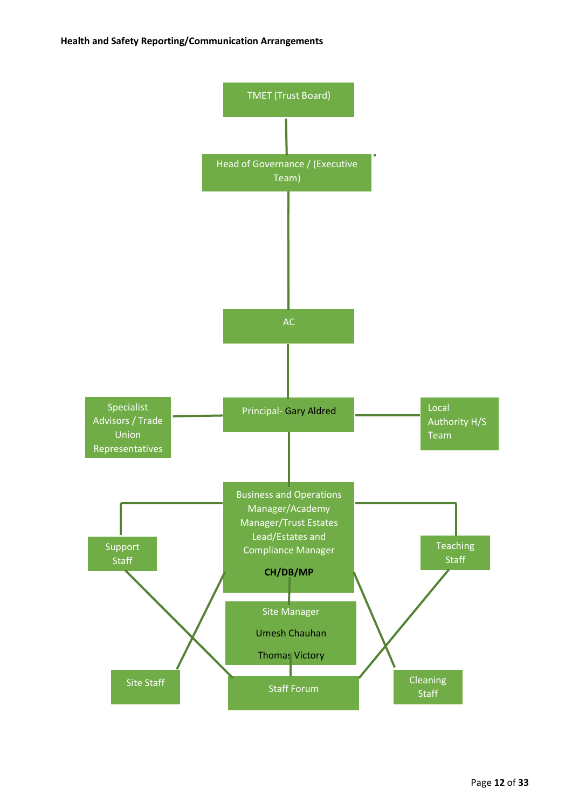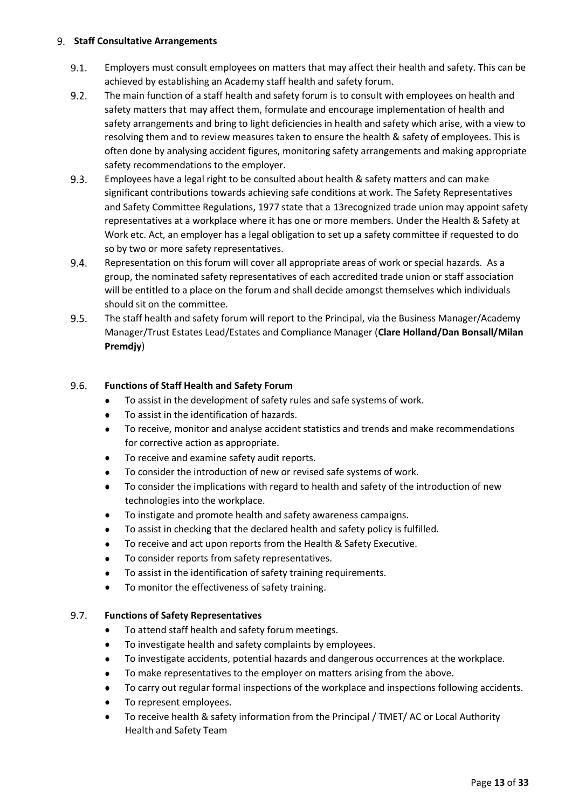# <span id="page-12-0"></span>**Staff Consultative Arrangements**

- $9.1.$ Employers must consult employees on matters that may affect their health and safety. This can be achieved by establishing an Academy staff health and safety forum.
- $9.2.$ The main function of a staff health and safety forum is to consult with employees on health and safety matters that may affect them, formulate and encourage implementation of health and safety arrangements and bring to light deficiencies in health and safety which arise, with a view to resolving them and to review measures taken to ensure the health & safety of employees. This is often done by analysing accident figures, monitoring safety arrangements and making appropriate safety recommendations to the employer.
- $9.3.$ Employees have a legal right to be consulted about health & safety matters and can make significant contributions towards achieving safe conditions at work. The Safety Representatives and Safety Committee Regulations, 1977 state that a 13recognized trade union may appoint safety representatives at a workplace where it has one or more members. Under the Health & Safety at Work etc. Act, an employer has a legal obligation to set up a safety committee if requested to do so by two or more safety representatives.
- 9.4. Representation on this forum will cover all appropriate areas of work or special hazards. As a group, the nominated safety representatives of each accredited trade union or staff association will be entitled to a place on the forum and shall decide amongst themselves which individuals should sit on the committee.
- $9.5.$ The staff health and safety forum will report to the Principal, via the Business Manager/Academy Manager/Trust Estates Lead/Estates and Compliance Manager (**Clare Holland/Dan Bonsall/Milan Premdjy**)

#### 9.6. **Functions of Staff Health and Safety Forum**

- To assist in the development of safety rules and safe systems of work.
- To assist in the identification of hazards.  $\bullet$
- $\bullet$ To receive, monitor and analyse accident statistics and trends and make recommendations for corrective action as appropriate.
- To receive and examine safety audit reports.
- To consider the introduction of new or revised safe systems of work.
- To consider the implications with regard to health and safety of the introduction of new  $\bullet$ technologies into the workplace.
- To instigate and promote health and safety awareness campaigns.
- To assist in checking that the declared health and safety policy is fulfilled.
- To receive and act upon reports from the Health & Safety Executive.
- To consider reports from safety representatives.
- To assist in the identification of safety training requirements.
- To monitor the effectiveness of safety training.

#### 9.7. **Functions of Safety Representatives**

- To attend staff health and safety forum meetings.
- To investigate health and safety complaints by employees.
- To investigate accidents, potential hazards and dangerous occurrences at the workplace.
- To make representatives to the employer on matters arising from the above.
- To carry out regular formal inspections of the workplace and inspections following accidents.
- To represent employees.
- To receive health & safety information from the Principal / TMET/ AC or Local Authority Health and Safety Team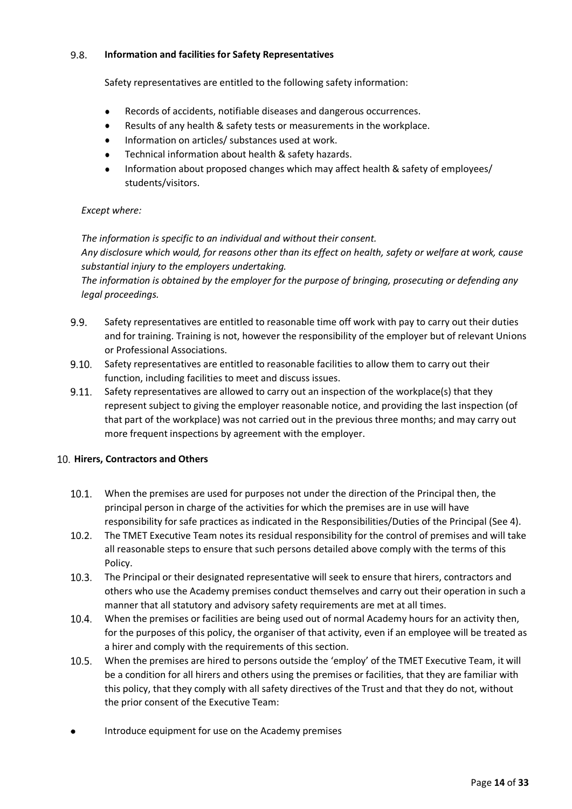#### 9.8. **Information and facilities for Safety Representatives**

Safety representatives are entitled to the following safety information:

- Records of accidents, notifiable diseases and dangerous occurrences.  $\bullet$
- Results of any health & safety tests or measurements in the workplace.  $\bullet$
- Information on articles/ substances used at work.
- Technical information about health & safety hazards.
- Information about proposed changes which may affect health & safety of employees/ students/visitors.

# *Except where:*

*The information is specific to an individual and without their consent. Any disclosure which would, for reasons other than its effect on health, safety or welfare at work, cause substantial injury to the employers undertaking.*

*The information is obtained by the employer for the purpose of bringing, prosecuting or defending any legal proceedings.* 

- $9.9.$ Safety representatives are entitled to reasonable time off work with pay to carry out their duties and for training. Training is not, however the responsibility of the employer but of relevant Unions or Professional Associations.
- $9.10.$ Safety representatives are entitled to reasonable facilities to allow them to carry out their function, including facilities to meet and discuss issues.
- $9.11.$ Safety representatives are allowed to carry out an inspection of the workplace(s) that they represent subject to giving the employer reasonable notice, and providing the last inspection (of that part of the workplace) was not carried out in the previous three months; and may carry out more frequent inspections by agreement with the employer.

# <span id="page-13-0"></span>**Hirers, Contractors and Others**

- $10.1.$ When the premises are used for purposes not under the direction of the Principal then, the principal person in charge of the activities for which the premises are in use will have responsibility for safe practices as indicated in the Responsibilities/Duties of the Principal (See 4).
- $10.2.$ The TMET Executive Team notes its residual responsibility for the control of premises and will take all reasonable steps to ensure that such persons detailed above comply with the terms of this Policy.
- $10.3.$ The Principal or their designated representative will seek to ensure that hirers, contractors and others who use the Academy premises conduct themselves and carry out their operation in such a manner that all statutory and advisory safety requirements are met at all times.
- $10.4.$ When the premises or facilities are being used out of normal Academy hours for an activity then, for the purposes of this policy, the organiser of that activity, even if an employee will be treated as a hirer and comply with the requirements of this section.
- $10.5.$ When the premises are hired to persons outside the 'employ' of the TMET Executive Team, it will be a condition for all hirers and others using the premises or facilities, that they are familiar with this policy, that they comply with all safety directives of the Trust and that they do not, without the prior consent of the Executive Team:
- Introduce equipment for use on the Academy premises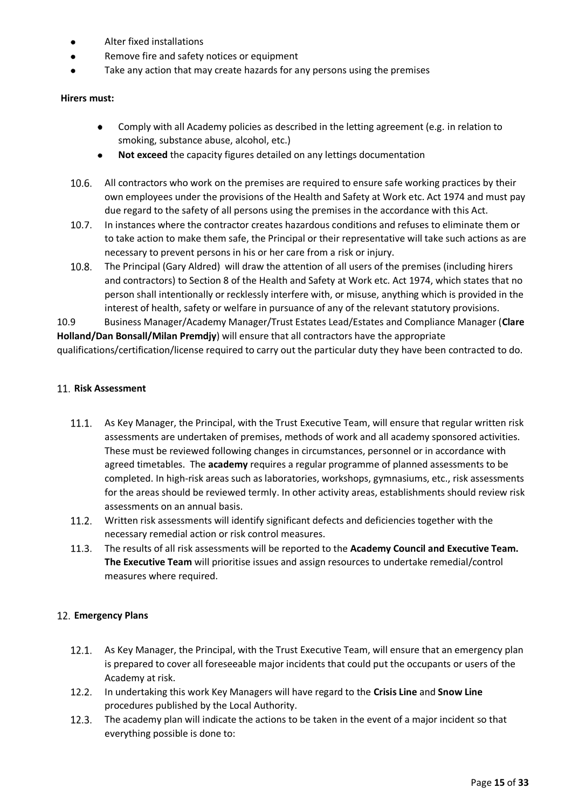- Alter fixed installations
- Remove fire and safety notices or equipment
- Take any action that may create hazards for any persons using the premises

# **Hirers must:**

- Comply with all Academy policies as described in the letting agreement (e.g. in relation to smoking, substance abuse, alcohol, etc.)
- **Not exceed** the capacity figures detailed on any lettings documentation
- 10.6. All contractors who work on the premises are required to ensure safe working practices by their own employees under the provisions of the Health and Safety at Work etc. Act 1974 and must pay due regard to the safety of all persons using the premises in the accordance with this Act.
- $10.7.$ In instances where the contractor creates hazardous conditions and refuses to eliminate them or to take action to make them safe, the Principal or their representative will take such actions as are necessary to prevent persons in his or her care from a risk or injury.
- 10.8. The Principal (Gary Aldred) will draw the attention of all users of the premises (including hirers and contractors) to Section 8 of the Health and Safety at Work etc. Act 1974, which states that no person shall intentionally or recklessly interfere with, or misuse, anything which is provided in the interest of health, safety or welfare in pursuance of any of the relevant statutory provisions.

10.9 Business Manager/Academy Manager/Trust Estates Lead/Estates and Compliance Manager (**Clare Holland/Dan Bonsall/Milan Premdjy**) will ensure that all contractors have the appropriate

qualifications/certification/license required to carry out the particular duty they have been contracted to do.

# <span id="page-14-0"></span>11. Risk Assessment

- 11.1. As Key Manager, the Principal, with the Trust Executive Team, will ensure that regular written risk assessments are undertaken of premises, methods of work and all academy sponsored activities. These must be reviewed following changes in circumstances, personnel or in accordance with agreed timetables. The **academy** requires a regular programme of planned assessments to be completed. In high-risk areas such as laboratories, workshops, gymnasiums, etc., risk assessments for the areas should be reviewed termly. In other activity areas, establishments should review risk assessments on an annual basis.
- $11.2.$ Written risk assessments will identify significant defects and deficiencies together with the necessary remedial action or risk control measures.
- 11.3. The results of all risk assessments will be reported to the **Academy Council and Executive Team. The Executive Team** will prioritise issues and assign resources to undertake remedial/control measures where required.

# <span id="page-14-1"></span>**Emergency Plans**

- 12.1. As Key Manager, the Principal, with the Trust Executive Team, will ensure that an emergency plan is prepared to cover all foreseeable major incidents that could put the occupants or users of the Academy at risk.
- 12.2. In undertaking this work Key Managers will have regard to the **Crisis Line** and **Snow Line** procedures published by the Local Authority.
- 12.3. The academy plan will indicate the actions to be taken in the event of a major incident so that everything possible is done to: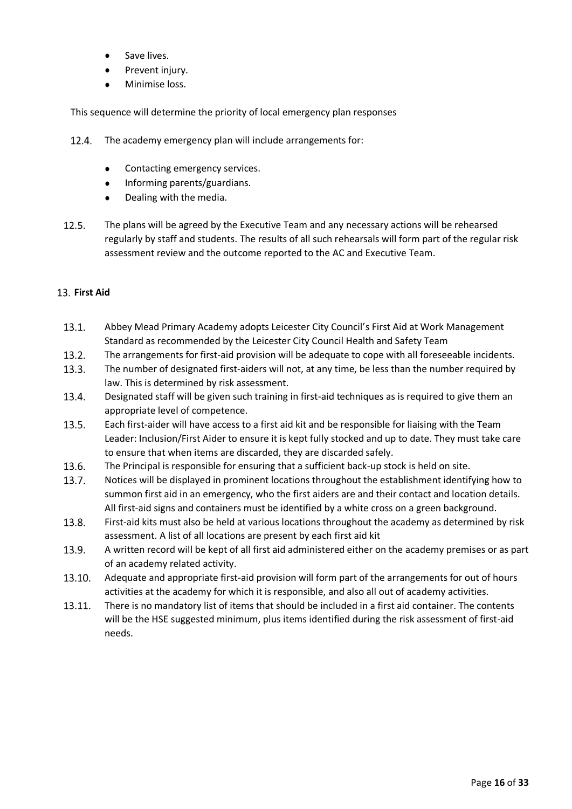- Save lives.
- Prevent injury.
- Minimise loss.

This sequence will determine the priority of local emergency plan responses

- 12.4. The academy emergency plan will include arrangements for:
	- Contacting emergency services.
	- $\bullet$ Informing parents/guardians.
	- Dealing with the media.  $\bullet$
- $12.5.$ The plans will be agreed by the Executive Team and any necessary actions will be rehearsed regularly by staff and students. The results of all such rehearsals will form part of the regular risk assessment review and the outcome reported to the AC and Executive Team.

# <span id="page-15-0"></span>**First Aid**

- $13.1.$ Abbey Mead Primary Academy adopts Leicester City Council's First Aid at Work Management Standard as recommended by the Leicester City Council Health and Safety Team
- $13.2.$ The arrangements for first-aid provision will be adequate to cope with all foreseeable incidents.
- $13.3.$ The number of designated first-aiders will not, at any time, be less than the number required by law. This is determined by risk assessment.
- 13.4. Designated staff will be given such training in first-aid techniques as is required to give them an appropriate level of competence.
- 13.5. Each first-aider will have access to a first aid kit and be responsible for liaising with the Team Leader: Inclusion/First Aider to ensure it is kept fully stocked and up to date. They must take care to ensure that when items are discarded, they are discarded safely.
- 13.6. The Principal is responsible for ensuring that a sufficient back-up stock is held on site.
- 13.7. Notices will be displayed in prominent locations throughout the establishment identifying how to summon first aid in an emergency, who the first aiders are and their contact and location details. All first-aid signs and containers must be identified by a white cross on a green background.
- 13.8. First-aid kits must also be held at various locations throughout the academy as determined by risk assessment. A list of all locations are present by each first aid kit
- $13.9.$ A written record will be kept of all first aid administered either on the academy premises or as part of an academy related activity.
- 13.10. Adequate and appropriate first-aid provision will form part of the arrangements for out of hours activities at the academy for which it is responsible, and also all out of academy activities.
- $13.11.$ There is no mandatory list of items that should be included in a first aid container. The contents will be the HSE suggested minimum, plus items identified during the risk assessment of first-aid needs.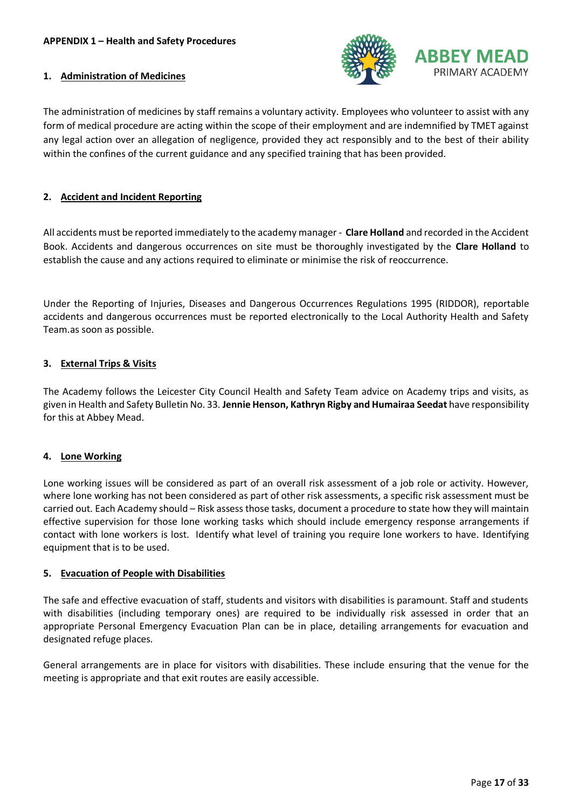

### <span id="page-16-1"></span><span id="page-16-0"></span>**1. Administration of Medicines**

The administration of medicines by staff remains a voluntary activity. Employees who volunteer to assist with any form of medical procedure are acting within the scope of their employment and are indemnified by TMET against any legal action over an allegation of negligence, provided they act responsibly and to the best of their ability within the confines of the current guidance and any specified training that has been provided.

# <span id="page-16-2"></span>**2. Accident and Incident Reporting**

All accidents must be reported immediately to the academy manager - **Clare Holland** and recorded in the Accident Book. Accidents and dangerous occurrences on site must be thoroughly investigated by the **Clare Holland** to establish the cause and any actions required to eliminate or minimise the risk of reoccurrence.

Under the Reporting of Injuries, Diseases and Dangerous Occurrences Regulations 1995 (RIDDOR), reportable accidents and dangerous occurrences must be reported electronically to the Local Authority Health and Safety Team.as soon as possible.

#### <span id="page-16-3"></span>**3. External Trips & Visits**

The Academy follows the Leicester City Council Health and Safety Team advice on Academy trips and visits, as given in Health and Safety Bulletin No. 33. **Jennie Henson, Kathryn Rigby and Humairaa Seedat** have responsibility for this at Abbey Mead.

#### <span id="page-16-4"></span>**4. Lone Working**

Lone working issues will be considered as part of an overall risk assessment of a job role or activity. However, where lone working has not been considered as part of other risk assessments, a specific risk assessment must be carried out. Each Academy should – Risk assess those tasks, document a procedure to state how they will maintain effective supervision for those lone working tasks which should include emergency response arrangements if contact with lone workers is lost. Identify what level of training you require lone workers to have. Identifying equipment that is to be used.

#### <span id="page-16-5"></span>**5. Evacuation of People with Disabilities**

The safe and effective evacuation of staff, students and visitors with disabilities is paramount. Staff and students with disabilities (including temporary ones) are required to be individually risk assessed in order that an appropriate Personal Emergency Evacuation Plan can be in place, detailing arrangements for evacuation and designated refuge places.

General arrangements are in place for visitors with disabilities. These include ensuring that the venue for the meeting is appropriate and that exit routes are easily accessible.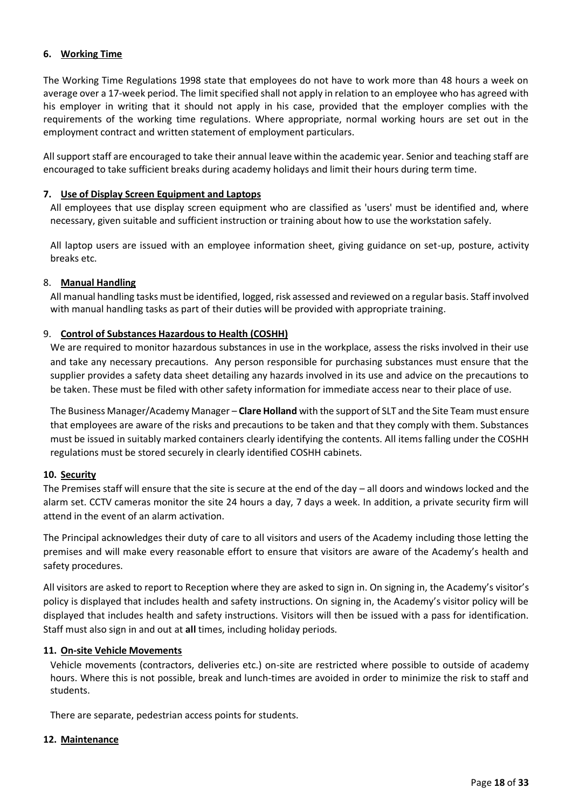## <span id="page-17-0"></span>**6. Working Time**

The Working Time Regulations 1998 state that employees do not have to work more than 48 hours a week on average over a 17-week period. The limit specified shall not apply in relation to an employee who has agreed with his employer in writing that it should not apply in his case, provided that the employer complies with the requirements of the working time regulations. Where appropriate, normal working hours are set out in the employment contract and written statement of employment particulars.

All support staff are encouraged to take their annual leave within the academic year. Senior and teaching staff are encouraged to take sufficient breaks during academy holidays and limit their hours during term time.

#### <span id="page-17-1"></span>**7. Use of Display Screen Equipment and Laptops**

All employees that use display screen equipment who are classified as 'users' must be identified and, where necessary, given suitable and sufficient instruction or training about how to use the workstation safely.

All laptop users are issued with an employee information sheet, giving guidance on set-up, posture, activity breaks etc.

# <span id="page-17-2"></span>8. **Manual Handling**

All manual handling tasks must be identified, logged, risk assessed and reviewed on a regular basis. Staff involved with manual handling tasks as part of their duties will be provided with appropriate training.

# <span id="page-17-3"></span>9. **Control of Substances Hazardous to Health (COSHH)**

We are required to monitor hazardous substances in use in the workplace, assess the risks involved in their use and take any necessary precautions. Any person responsible for purchasing substances must ensure that the supplier provides a safety data sheet detailing any hazards involved in its use and advice on the precautions to be taken. These must be filed with other safety information for immediate access near to their place of use.

The Business Manager/Academy Manager – **Clare Holland** with the support of SLT and the Site Team must ensure that employees are aware of the risks and precautions to be taken and that they comply with them. Substances must be issued in suitably marked containers clearly identifying the contents. All items falling under the COSHH regulations must be stored securely in clearly identified COSHH cabinets.

#### <span id="page-17-4"></span>**10. Security**

The Premises staff will ensure that the site is secure at the end of the day – all doors and windows locked and the alarm set. CCTV cameras monitor the site 24 hours a day, 7 days a week. In addition, a private security firm will attend in the event of an alarm activation.

The Principal acknowledges their duty of care to all visitors and users of the Academy including those letting the premises and will make every reasonable effort to ensure that visitors are aware of the Academy's health and safety procedures.

All visitors are asked to report to Reception where they are asked to sign in. On signing in, the Academy's visitor's policy is displayed that includes health and safety instructions. On signing in, the Academy's visitor policy will be displayed that includes health and safety instructions. Visitors will then be issued with a pass for identification. Staff must also sign in and out at **all** times, including holiday periods.

#### <span id="page-17-5"></span>**11. On-site Vehicle Movements**

Vehicle movements (contractors, deliveries etc.) on-site are restricted where possible to outside of academy hours. Where this is not possible, break and lunch-times are avoided in order to minimize the risk to staff and students.

There are separate, pedestrian access points for students.

#### <span id="page-17-6"></span>**12. Maintenance**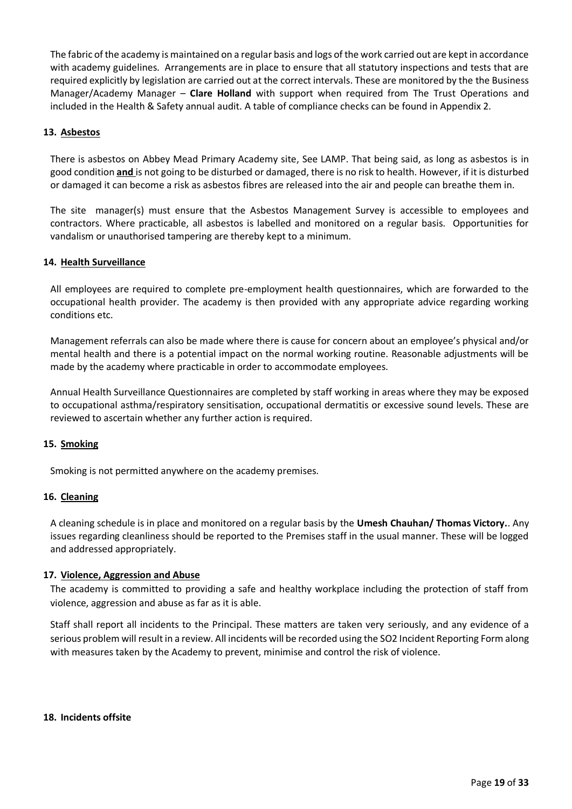The fabric of the academy is maintained on a regular basis and logs of the work carried out are kept in accordance with academy guidelines. Arrangements are in place to ensure that all statutory inspections and tests that are required explicitly by legislation are carried out at the correct intervals. These are monitored by the the Business Manager/Academy Manager – **Clare Holland** with support when required from The Trust Operations and included in the Health & Safety annual audit. A table of compliance checks can be found in Appendix 2.

# <span id="page-18-0"></span>**13. Asbestos**

There is asbestos on Abbey Mead Primary Academy site, See LAMP. That being said, as long as asbestos is in good condition **and** is not going to be disturbed or damaged, there is no risk to health. However, if it is disturbed or damaged it can become a risk as asbestos fibres are released into the air and people can breathe them in.

The site manager(s) must ensure that the Asbestos Management Survey is accessible to employees and contractors. Where practicable, all asbestos is labelled and monitored on a regular basis. Opportunities for vandalism or unauthorised tampering are thereby kept to a minimum.

#### <span id="page-18-1"></span>**14. Health Surveillance**

All employees are required to complete pre-employment health questionnaires, which are forwarded to the occupational health provider. The academy is then provided with any appropriate advice regarding working conditions etc.

Management referrals can also be made where there is cause for concern about an employee's physical and/or mental health and there is a potential impact on the normal working routine. Reasonable adjustments will be made by the academy where practicable in order to accommodate employees.

Annual Health Surveillance Questionnaires are completed by staff working in areas where they may be exposed to occupational asthma/respiratory sensitisation, occupational dermatitis or excessive sound levels. These are reviewed to ascertain whether any further action is required.

#### <span id="page-18-2"></span>**15. Smoking**

Smoking is not permitted anywhere on the academy premises.

#### <span id="page-18-3"></span>**16. Cleaning**

A cleaning schedule is in place and monitored on a regular basis by the **Umesh Chauhan/ Thomas Victory.**. Any issues regarding cleanliness should be reported to the Premises staff in the usual manner. These will be logged and addressed appropriately.

#### <span id="page-18-4"></span>**17. Violence, Aggression and Abuse**

The academy is committed to providing a safe and healthy workplace including the protection of staff from violence, aggression and abuse as far as it is able.

Staff shall report all incidents to the Principal. These matters are taken very seriously, and any evidence of a serious problem will result in a review. All incidents will be recorded using the SO2 Incident Reporting Form along with measures taken by the Academy to prevent, minimise and control the risk of violence.

#### <span id="page-18-5"></span>**18. Incidents offsite**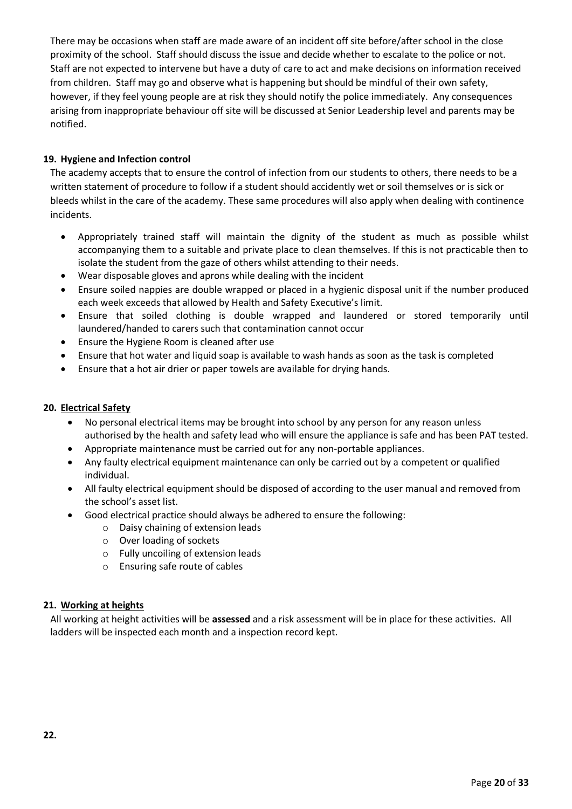There may be occasions when staff are made aware of an incident off site before/after school in the close proximity of the school. Staff should discuss the issue and decide whether to escalate to the police or not. Staff are not expected to intervene but have a duty of care to act and make decisions on information received from children. Staff may go and observe what is happening but should be mindful of their own safety, however, if they feel young people are at risk they should notify the police immediately. Any consequences arising from inappropriate behaviour off site will be discussed at Senior Leadership level and parents may be notified.

# <span id="page-19-0"></span>**19. Hygiene and Infection control**

The academy accepts that to ensure the control of infection from our students to others, there needs to be a written statement of procedure to follow if a student should accidently wet or soil themselves or is sick or bleeds whilst in the care of the academy. These same procedures will also apply when dealing with continence incidents.

- Appropriately trained staff will maintain the dignity of the student as much as possible whilst accompanying them to a suitable and private place to clean themselves. If this is not practicable then to isolate the student from the gaze of others whilst attending to their needs.
- Wear disposable gloves and aprons while dealing with the incident
- Ensure soiled nappies are double wrapped or placed in a hygienic disposal unit if the number produced each week exceeds that allowed by Health and Safety Executive's limit.
- Ensure that soiled clothing is double wrapped and laundered or stored temporarily until laundered/handed to carers such that contamination cannot occur
- Ensure the Hygiene Room is cleaned after use
- Ensure that hot water and liquid soap is available to wash hands as soon as the task is completed
- Ensure that a hot air drier or paper towels are available for drying hands.

# <span id="page-19-1"></span>**20. Electrical Safety**

- No personal electrical items may be brought into school by any person for any reason unless authorised by the health and safety lead who will ensure the appliance is safe and has been PAT tested.
- Appropriate maintenance must be carried out for any non-portable appliances.
- Any faulty electrical equipment maintenance can only be carried out by a competent or qualified individual.
- All faulty electrical equipment should be disposed of according to the user manual and removed from the school's asset list.
- Good electrical practice should always be adhered to ensure the following:
	- o Daisy chaining of extension leads
	- o Over loading of sockets
	- o Fully uncoiling of extension leads
	- o Ensuring safe route of cables

# <span id="page-19-2"></span>**21. Working at heights**

<span id="page-19-3"></span>All working at height activities will be **assessed** and a risk assessment will be in place for these activities. All ladders will be inspected each month and a inspection record kept.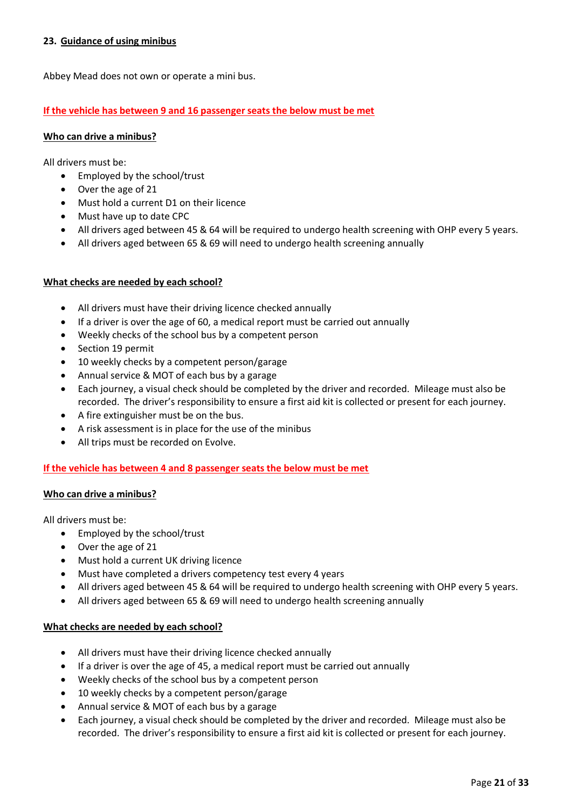# **23. Guidance of using minibus**

Abbey Mead does not own or operate a mini bus.

#### **If the vehicle has between 9 and 16 passenger seats the below must be met**

#### **Who can drive a minibus?**

All drivers must be:

- Employed by the school/trust
- Over the age of 21
- Must hold a current D1 on their licence
- Must have up to date CPC
- All drivers aged between 45 & 64 will be required to undergo health screening with OHP every 5 years.
- All drivers aged between 65 & 69 will need to undergo health screening annually

#### **What checks are needed by each school?**

- All drivers must have their driving licence checked annually
- If a driver is over the age of 60, a medical report must be carried out annually
- Weekly checks of the school bus by a competent person
- Section 19 permit
- 10 weekly checks by a competent person/garage
- Annual service & MOT of each bus by a garage
- Each journey, a visual check should be completed by the driver and recorded. Mileage must also be recorded. The driver's responsibility to ensure a first aid kit is collected or present for each journey.
- A fire extinguisher must be on the bus.
- A risk assessment is in place for the use of the minibus
- All trips must be recorded on Evolve.

#### **If the vehicle has between 4 and 8 passenger seats the below must be met**

#### **Who can drive a minibus?**

All drivers must be:

- Employed by the school/trust
- Over the age of 21
- Must hold a current UK driving licence
- Must have completed a drivers competency test every 4 years
- All drivers aged between 45 & 64 will be required to undergo health screening with OHP every 5 years.
- All drivers aged between 65 & 69 will need to undergo health screening annually

#### **What checks are needed by each school?**

- All drivers must have their driving licence checked annually
- If a driver is over the age of 45, a medical report must be carried out annually
- Weekly checks of the school bus by a competent person
- 10 weekly checks by a competent person/garage
- Annual service & MOT of each bus by a garage
- Each journey, a visual check should be completed by the driver and recorded. Mileage must also be recorded. The driver's responsibility to ensure a first aid kit is collected or present for each journey.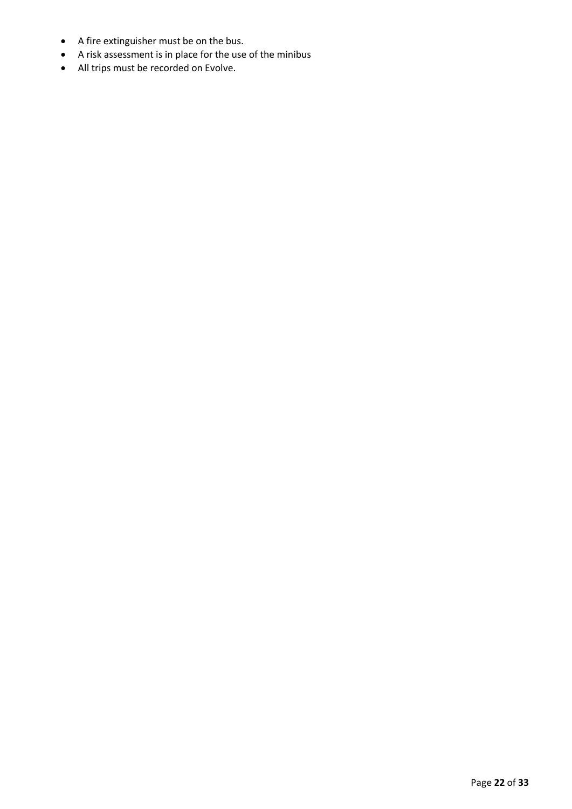- A fire extinguisher must be on the bus.
- A risk assessment is in place for the use of the minibus
- All trips must be recorded on Evolve.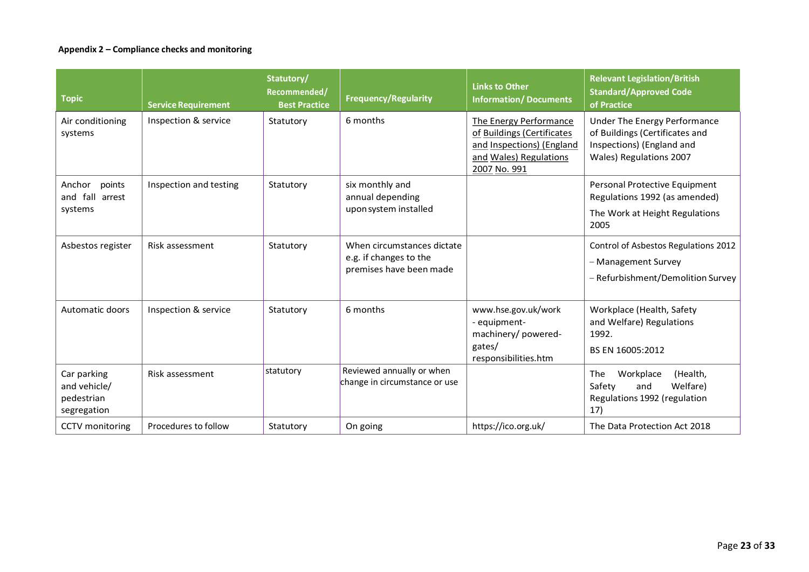# **Appendix 2 – Compliance checks and monitoring**

| <b>Topic</b>                                             | <b>Service Requirement</b> | Statutory/<br>Recommended/<br><b>Best Practice</b> | <b>Frequency/Regularity</b>                                                     | <b>Links to Other</b><br><b>Information/Documents</b>                                                                       | <b>Relevant Legislation/British</b><br><b>Standard/Approved Code</b><br>of Practice                                    |
|----------------------------------------------------------|----------------------------|----------------------------------------------------|---------------------------------------------------------------------------------|-----------------------------------------------------------------------------------------------------------------------------|------------------------------------------------------------------------------------------------------------------------|
| Air conditioning<br>systems                              | Inspection & service       | Statutory                                          | 6 months                                                                        | The Energy Performance<br>of Buildings (Certificates<br>and Inspections) (England<br>and Wales) Regulations<br>2007 No. 991 | Under The Energy Performance<br>of Buildings (Certificates and<br>Inspections) (England and<br>Wales) Regulations 2007 |
| points<br>Anchor<br>and fall arrest<br>systems           | Inspection and testing     | Statutory                                          | six monthly and<br>annual depending<br>upon system installed                    |                                                                                                                             | Personal Protective Equipment<br>Regulations 1992 (as amended)<br>The Work at Height Regulations<br>2005               |
| Asbestos register                                        | Risk assessment            | Statutory                                          | When circumstances dictate<br>e.g. if changes to the<br>premises have been made |                                                                                                                             | Control of Asbestos Regulations 2012<br>- Management Survey<br>- Refurbishment/Demolition Survey                       |
| Automatic doors                                          | Inspection & service       | Statutory                                          | 6 months                                                                        | www.hse.gov.uk/work<br>- equipment-<br>machinery/powered-<br>gates/<br>responsibilities.htm                                 | Workplace (Health, Safety<br>and Welfare) Regulations<br>1992.<br>BS EN 16005:2012                                     |
| Car parking<br>and vehicle/<br>pedestrian<br>segregation | Risk assessment            | statutory                                          | Reviewed annually or when<br>change in circumstance or use                      |                                                                                                                             | The<br>Workplace<br>(Health,<br>Welfare)<br>Safety<br>and<br>Regulations 1992 (regulation<br>17)                       |
| CCTV monitoring                                          | Procedures to follow       | Statutory                                          | On going                                                                        | https://ico.org.uk/                                                                                                         | The Data Protection Act 2018                                                                                           |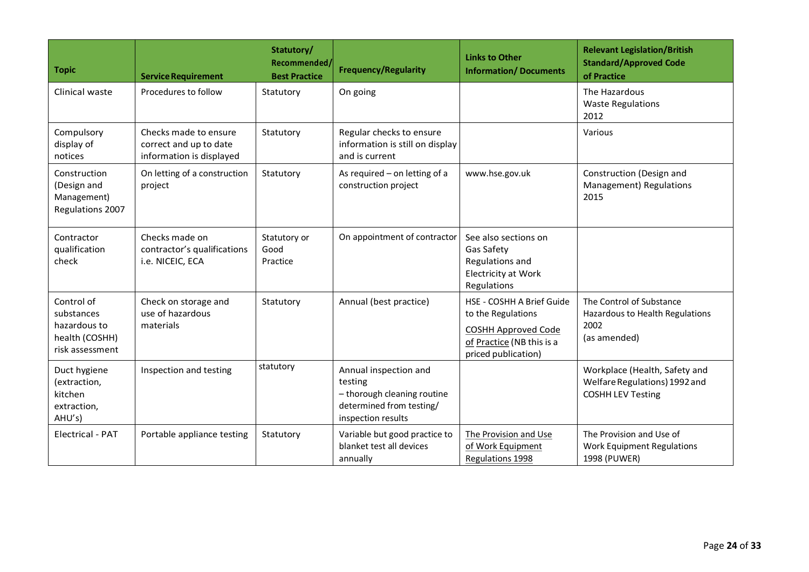| <b>Topic</b>                                                                  | <b>Service Requirement</b>                                                  | Statutory/<br>Recommended/<br><b>Best Practice</b> | <b>Frequency/Regularity</b>                                                                                       | <b>Links to Other</b><br><b>Information/Documents</b>                                                                             | <b>Relevant Legislation/British</b><br><b>Standard/Approved Code</b><br>of Practice        |
|-------------------------------------------------------------------------------|-----------------------------------------------------------------------------|----------------------------------------------------|-------------------------------------------------------------------------------------------------------------------|-----------------------------------------------------------------------------------------------------------------------------------|--------------------------------------------------------------------------------------------|
| Clinical waste                                                                | Procedures to follow                                                        | Statutory                                          | On going                                                                                                          |                                                                                                                                   | The Hazardous<br><b>Waste Regulations</b><br>2012                                          |
| Compulsory<br>display of<br>notices                                           | Checks made to ensure<br>correct and up to date<br>information is displayed | Statutory                                          | Regular checks to ensure<br>information is still on display<br>and is current                                     |                                                                                                                                   | Various                                                                                    |
| Construction<br>(Design and<br>Management)<br>Regulations 2007                | On letting of a construction<br>project                                     | Statutory                                          | As required - on letting of a<br>construction project                                                             | www.hse.gov.uk                                                                                                                    | Construction (Design and<br>Management) Regulations<br>2015                                |
| Contractor<br>qualification<br>check                                          | Checks made on<br>contractor's qualifications<br>i.e. NICEIC, ECA           | Statutory or<br>Good<br>Practice                   | On appointment of contractor                                                                                      | See also sections on<br>Gas Safety<br>Regulations and<br><b>Electricity at Work</b><br>Regulations                                |                                                                                            |
| Control of<br>substances<br>hazardous to<br>health (COSHH)<br>risk assessment | Check on storage and<br>use of hazardous<br>materials                       | Statutory                                          | Annual (best practice)                                                                                            | HSE - COSHH A Brief Guide<br>to the Regulations<br><b>COSHH Approved Code</b><br>of Practice (NB this is a<br>priced publication) | The Control of Substance<br>Hazardous to Health Regulations<br>2002<br>(as amended)        |
| Duct hygiene<br>(extraction,<br>kitchen<br>extraction,<br>AHU's)              | Inspection and testing                                                      | statutory                                          | Annual inspection and<br>testing<br>- thorough cleaning routine<br>determined from testing/<br>inspection results |                                                                                                                                   | Workplace (Health, Safety and<br>Welfare Regulations) 1992 and<br><b>COSHH LEV Testing</b> |
| <b>Electrical - PAT</b>                                                       | Portable appliance testing                                                  | Statutory                                          | Variable but good practice to<br>blanket test all devices<br>annually                                             | The Provision and Use<br>of Work Equipment<br>Regulations 1998                                                                    | The Provision and Use of<br><b>Work Equipment Regulations</b><br>1998 (PUWER)              |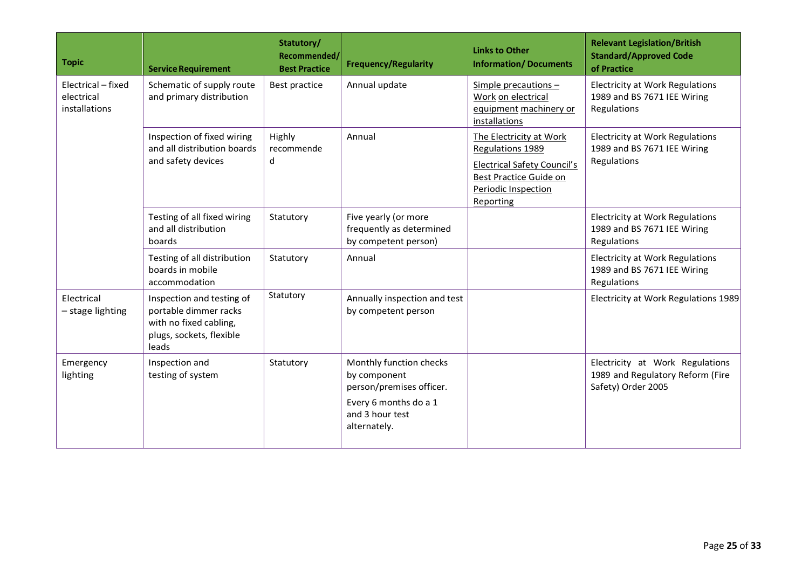| <b>Topic</b>                                      | <b>Service Requirement</b>                                                                                        | Statutory/<br>Recommended/<br><b>Best Practice</b> | <b>Frequency/Regularity</b>                                                                                                     | <b>Links to Other</b><br><b>Information/Documents</b>                                                                                           | <b>Relevant Legislation/British</b><br><b>Standard/Approved Code</b><br>of Practice       |
|---------------------------------------------------|-------------------------------------------------------------------------------------------------------------------|----------------------------------------------------|---------------------------------------------------------------------------------------------------------------------------------|-------------------------------------------------------------------------------------------------------------------------------------------------|-------------------------------------------------------------------------------------------|
| Electrical - fixed<br>electrical<br>installations | Schematic of supply route<br>and primary distribution                                                             | Best practice                                      | Annual update                                                                                                                   | Simple precautions -<br>Work on electrical<br>equipment machinery or<br>installations                                                           | <b>Electricity at Work Regulations</b><br>1989 and BS 7671 IEE Wiring<br>Regulations      |
|                                                   | Inspection of fixed wiring<br>and all distribution boards<br>and safety devices                                   | Highly<br>recommende<br>d                          | Annual                                                                                                                          | The Electricity at Work<br>Regulations 1989<br><b>Electrical Safety Council's</b><br>Best Practice Guide on<br>Periodic Inspection<br>Reporting | <b>Electricity at Work Regulations</b><br>1989 and BS 7671 IEE Wiring<br>Regulations      |
|                                                   | Testing of all fixed wiring<br>and all distribution<br>boards                                                     | Statutory                                          | Five yearly (or more<br>frequently as determined<br>by competent person)                                                        |                                                                                                                                                 | <b>Electricity at Work Regulations</b><br>1989 and BS 7671 IEE Wiring<br>Regulations      |
|                                                   | Testing of all distribution<br>boards in mobile<br>accommodation                                                  | Statutory                                          | Annual                                                                                                                          |                                                                                                                                                 | <b>Electricity at Work Regulations</b><br>1989 and BS 7671 IEE Wiring<br>Regulations      |
| Electrical<br>- stage lighting                    | Inspection and testing of<br>portable dimmer racks<br>with no fixed cabling,<br>plugs, sockets, flexible<br>leads | Statutory                                          | Annually inspection and test<br>by competent person                                                                             |                                                                                                                                                 | Electricity at Work Regulations 1989                                                      |
| Emergency<br>lighting                             | Inspection and<br>testing of system                                                                               | Statutory                                          | Monthly function checks<br>by component<br>person/premises officer.<br>Every 6 months do a 1<br>and 3 hour test<br>alternately. |                                                                                                                                                 | Electricity at Work Regulations<br>1989 and Regulatory Reform (Fire<br>Safety) Order 2005 |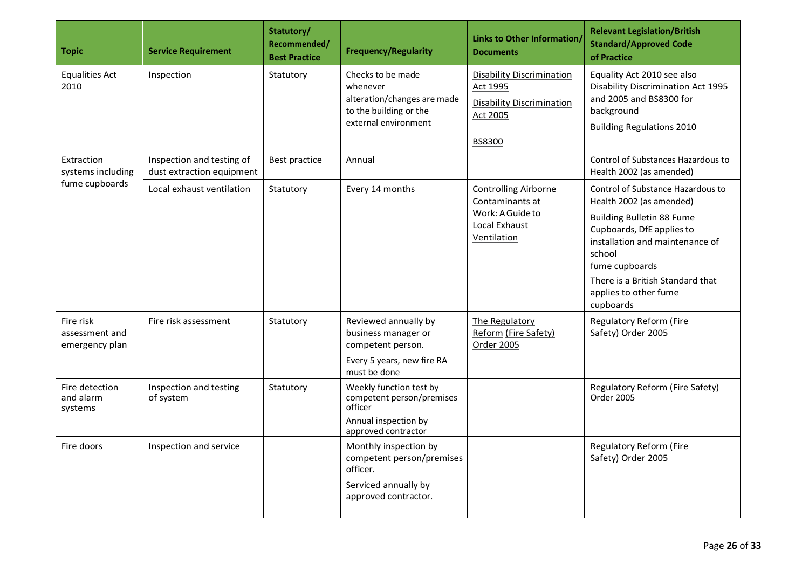| <b>Topic</b>                                                    | <b>Service Requirement</b>                                    | Statutory/<br>Recommended/<br><b>Best Practice</b> | <b>Frequency/Regularity</b>                                                                                                                                                                      | <b>Links to Other Information/</b><br><b>Documents</b>                                                                                                            | <b>Relevant Legislation/British</b><br><b>Standard/Approved Code</b><br>of Practice                                                                                                                                                                                                                                             |
|-----------------------------------------------------------------|---------------------------------------------------------------|----------------------------------------------------|--------------------------------------------------------------------------------------------------------------------------------------------------------------------------------------------------|-------------------------------------------------------------------------------------------------------------------------------------------------------------------|---------------------------------------------------------------------------------------------------------------------------------------------------------------------------------------------------------------------------------------------------------------------------------------------------------------------------------|
| <b>Equalities Act</b><br>2010                                   | Inspection                                                    | Statutory                                          | Checks to be made<br>whenever<br>alteration/changes are made<br>to the building or the<br>external environment                                                                                   | <b>Disability Discrimination</b><br><b>Act 1995</b><br><b>Disability Discrimination</b><br>Act 2005                                                               | Equality Act 2010 see also<br><b>Disability Discrimination Act 1995</b><br>and 2005 and BS8300 for<br>background<br><b>Building Regulations 2010</b>                                                                                                                                                                            |
|                                                                 |                                                               |                                                    |                                                                                                                                                                                                  | BS8300                                                                                                                                                            |                                                                                                                                                                                                                                                                                                                                 |
| Extraction<br>systems including                                 | Inspection and testing of<br>dust extraction equipment        | Best practice                                      | Annual                                                                                                                                                                                           |                                                                                                                                                                   | Control of Substances Hazardous to<br>Health 2002 (as amended)                                                                                                                                                                                                                                                                  |
| fume cupboards<br>Fire risk<br>assessment and<br>emergency plan | Local exhaust ventilation<br>Fire risk assessment             | Statutory<br>Statutory                             | Every 14 months<br>Reviewed annually by<br>business manager or<br>competent person.<br>Every 5 years, new fire RA                                                                                | <b>Controlling Airborne</b><br>Contaminants at<br>Work: A Guide to<br>Local Exhaust<br>Ventilation<br>The Regulatory<br>Reform (Fire Safety)<br><b>Order 2005</b> | Control of Substance Hazardous to<br>Health 2002 (as amended)<br><b>Building Bulletin 88 Fume</b><br>Cupboards, DfE applies to<br>installation and maintenance of<br>school<br>fume cupboards<br>There is a British Standard that<br>applies to other fume<br>cupboards<br><b>Regulatory Reform (Fire</b><br>Safety) Order 2005 |
| Fire detection<br>and alarm<br>systems<br>Fire doors            | Inspection and testing<br>of system<br>Inspection and service | Statutory                                          | must be done<br>Weekly function test by<br>competent person/premises<br>officer<br>Annual inspection by<br>approved contractor<br>Monthly inspection by<br>competent person/premises<br>officer. |                                                                                                                                                                   | Regulatory Reform (Fire Safety)<br>Order 2005<br><b>Regulatory Reform (Fire</b><br>Safety) Order 2005                                                                                                                                                                                                                           |
|                                                                 |                                                               |                                                    | Serviced annually by<br>approved contractor.                                                                                                                                                     |                                                                                                                                                                   |                                                                                                                                                                                                                                                                                                                                 |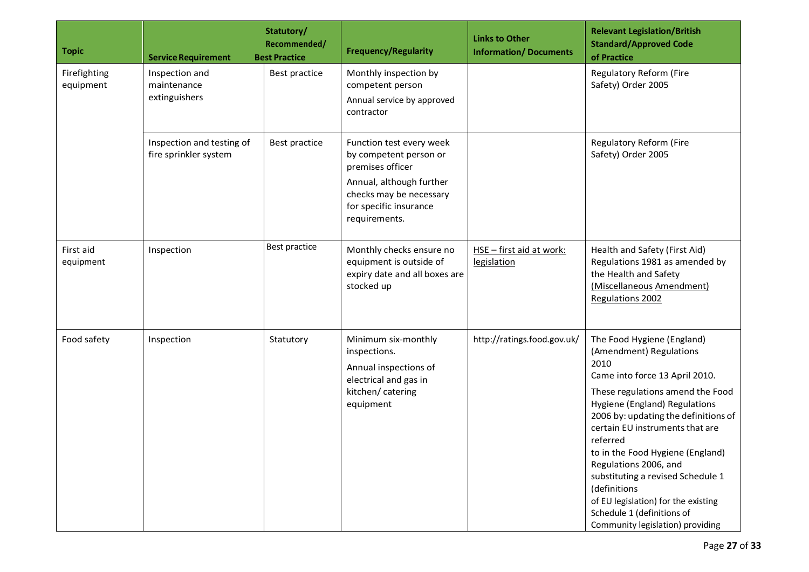| <b>Topic</b>              | <b>Service Requirement</b>                         | Statutory/<br>Recommended/<br><b>Best Practice</b> | <b>Frequency/Regularity</b>                                                                                                                                              | <b>Links to Other</b><br><b>Information/Documents</b> | <b>Relevant Legislation/British</b><br><b>Standard/Approved Code</b><br>of Practice                                                                                                                                                                                                                                                                                                                                                                                                    |
|---------------------------|----------------------------------------------------|----------------------------------------------------|--------------------------------------------------------------------------------------------------------------------------------------------------------------------------|-------------------------------------------------------|----------------------------------------------------------------------------------------------------------------------------------------------------------------------------------------------------------------------------------------------------------------------------------------------------------------------------------------------------------------------------------------------------------------------------------------------------------------------------------------|
| Firefighting<br>equipment | Inspection and<br>maintenance<br>extinguishers     | Best practice                                      | Monthly inspection by<br>competent person<br>Annual service by approved<br>contractor                                                                                    |                                                       | Regulatory Reform (Fire<br>Safety) Order 2005                                                                                                                                                                                                                                                                                                                                                                                                                                          |
|                           | Inspection and testing of<br>fire sprinkler system | Best practice                                      | Function test every week<br>by competent person or<br>premises officer<br>Annual, although further<br>checks may be necessary<br>for specific insurance<br>requirements. |                                                       | Regulatory Reform (Fire<br>Safety) Order 2005                                                                                                                                                                                                                                                                                                                                                                                                                                          |
| First aid<br>equipment    | Inspection                                         | Best practice                                      | Monthly checks ensure no<br>equipment is outside of<br>expiry date and all boxes are<br>stocked up                                                                       | HSE - first aid at work:<br>legislation               | Health and Safety (First Aid)<br>Regulations 1981 as amended by<br>the Health and Safety<br>(Miscellaneous Amendment)<br>Regulations 2002                                                                                                                                                                                                                                                                                                                                              |
| Food safety               | Inspection                                         | Statutory                                          | Minimum six-monthly<br>inspections.<br>Annual inspections of<br>electrical and gas in<br>kitchen/catering<br>equipment                                                   | http://ratings.food.gov.uk/                           | The Food Hygiene (England)<br>(Amendment) Regulations<br>2010<br>Came into force 13 April 2010.<br>These regulations amend the Food<br>Hygiene (England) Regulations<br>2006 by: updating the definitions of<br>certain EU instruments that are<br>referred<br>to in the Food Hygiene (England)<br>Regulations 2006, and<br>substituting a revised Schedule 1<br>(definitions<br>of EU legislation) for the existing<br>Schedule 1 (definitions of<br>Community legislation) providing |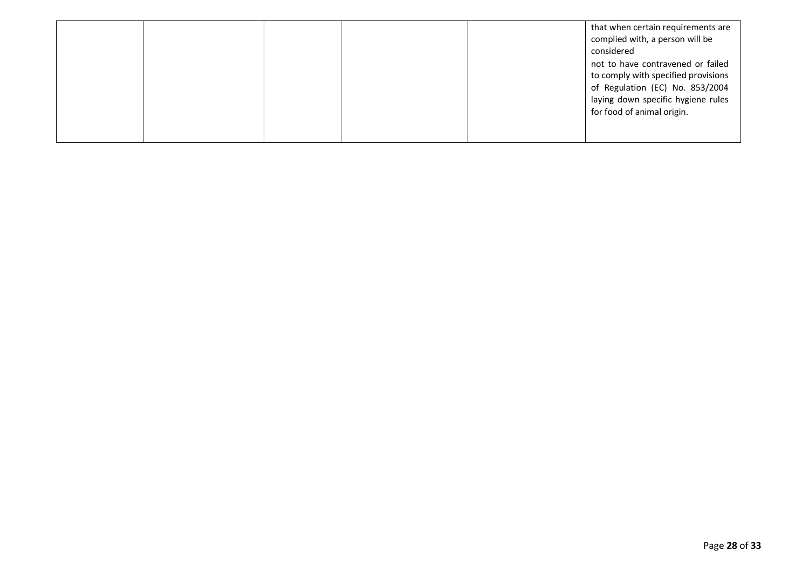|  |  | that when certain requirements are  |
|--|--|-------------------------------------|
|  |  | complied with, a person will be     |
|  |  | considered                          |
|  |  | not to have contravened or failed   |
|  |  | to comply with specified provisions |
|  |  | of Regulation (EC) No. 853/2004     |
|  |  | laying down specific hygiene rules  |
|  |  | for food of animal origin.          |
|  |  |                                     |
|  |  |                                     |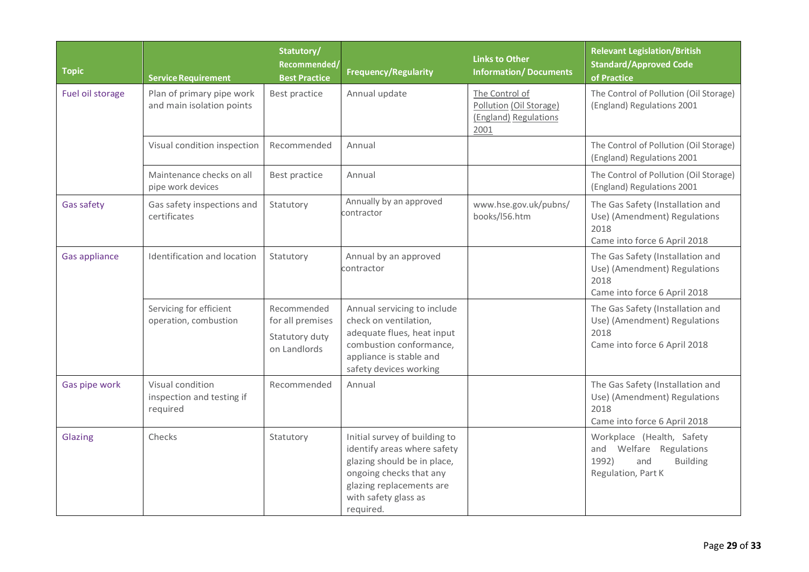| <b>Topic</b>         | <b>Service Requirement</b>                                | Statutory/<br>Recommended/<br><b>Best Practice</b>                | <b>Frequency/Regularity</b>                                                                                                                                                             | <b>Links to Other</b><br><b>Information/Documents</b>                      | <b>Relevant Legislation/British</b><br><b>Standard/Approved Code</b><br>of Practice                           |
|----------------------|-----------------------------------------------------------|-------------------------------------------------------------------|-----------------------------------------------------------------------------------------------------------------------------------------------------------------------------------------|----------------------------------------------------------------------------|---------------------------------------------------------------------------------------------------------------|
| Fuel oil storage     | Plan of primary pipe work<br>and main isolation points    | Best practice                                                     | Annual update                                                                                                                                                                           | The Control of<br>Pollution (Oil Storage)<br>(England) Regulations<br>2001 | The Control of Pollution (Oil Storage)<br>(England) Regulations 2001                                          |
|                      | Visual condition inspection                               | Recommended                                                       | Annual                                                                                                                                                                                  |                                                                            | The Control of Pollution (Oil Storage)<br>(England) Regulations 2001                                          |
|                      | Maintenance checks on all<br>pipe work devices            | Best practice                                                     | Annual                                                                                                                                                                                  |                                                                            | The Control of Pollution (Oil Storage)<br>(England) Regulations 2001                                          |
| Gas safety           | Gas safety inspections and<br>certificates                | Statutory                                                         | Annually by an approved<br>contractor                                                                                                                                                   | www.hse.gov.uk/pubns/<br>books/156.htm                                     | The Gas Safety (Installation and<br>Use) (Amendment) Regulations<br>2018<br>Came into force 6 April 2018      |
| <b>Gas appliance</b> | Identification and location                               | Statutory                                                         | Annual by an approved<br>contractor                                                                                                                                                     |                                                                            | The Gas Safety (Installation and<br>Use) (Amendment) Regulations<br>2018<br>Came into force 6 April 2018      |
|                      | Servicing for efficient<br>operation, combustion          | Recommended<br>for all premises<br>Statutory duty<br>on Landlords | Annual servicing to include<br>check on ventilation,<br>adequate flues, heat input<br>combustion conformance,<br>appliance is stable and<br>safety devices working                      |                                                                            | The Gas Safety (Installation and<br>Use) (Amendment) Regulations<br>2018<br>Came into force 6 April 2018      |
| Gas pipe work        | Visual condition<br>inspection and testing if<br>required | Recommended                                                       | Annual                                                                                                                                                                                  |                                                                            | The Gas Safety (Installation and<br>Use) (Amendment) Regulations<br>2018<br>Came into force 6 April 2018      |
| Glazing              | Checks                                                    | Statutory                                                         | Initial survey of building to<br>identify areas where safety<br>glazing should be in place,<br>ongoing checks that any<br>glazing replacements are<br>with safety glass as<br>required. |                                                                            | Workplace (Health, Safety<br>and Welfare Regulations<br>1992)<br><b>Building</b><br>and<br>Regulation, Part K |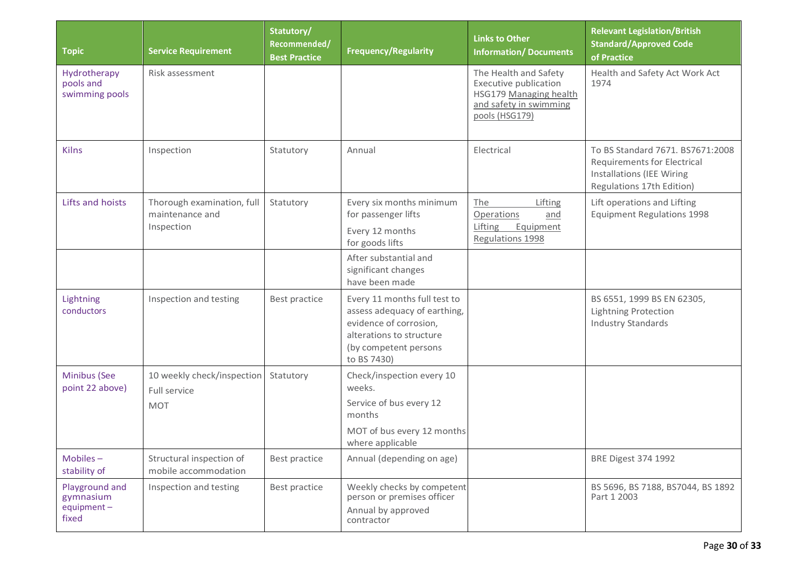| <b>Topic</b>                                          | <b>Service Requirement</b>                                  | Statutory/<br>Recommended/<br><b>Best Practice</b> | <b>Frequency/Regularity</b>                                                                                                                                | <b>Links to Other</b><br><b>Information/Documents</b>                                                                | <b>Relevant Legislation/British</b><br><b>Standard/Approved Code</b><br>of Practice                                              |
|-------------------------------------------------------|-------------------------------------------------------------|----------------------------------------------------|------------------------------------------------------------------------------------------------------------------------------------------------------------|----------------------------------------------------------------------------------------------------------------------|----------------------------------------------------------------------------------------------------------------------------------|
| Hydrotherapy<br>pools and<br>swimming pools           | Risk assessment                                             |                                                    |                                                                                                                                                            | The Health and Safety<br>Executive publication<br>HSG179 Managing health<br>and safety in swimming<br>pools (HSG179) | Health and Safety Act Work Act<br>1974                                                                                           |
| <b>Kilns</b>                                          | Inspection                                                  | Statutory                                          | Annual                                                                                                                                                     | Electrical                                                                                                           | To BS Standard 7671, BS7671:2008<br>Requirements for Electrical<br><b>Installations (IEE Wiring</b><br>Regulations 17th Edition) |
| Lifts and hoists                                      | Thorough examination, full<br>maintenance and<br>Inspection | Statutory                                          | Every six months minimum<br>for passenger lifts<br>Every 12 months<br>for goods lifts                                                                      | The<br>Lifting<br>Operations<br>and<br>Lifting<br>Equipment<br>Regulations 1998                                      | Lift operations and Lifting<br><b>Equipment Regulations 1998</b>                                                                 |
|                                                       |                                                             |                                                    | After substantial and<br>significant changes<br>have been made                                                                                             |                                                                                                                      |                                                                                                                                  |
| Lightning<br>conductors                               | Inspection and testing                                      | Best practice                                      | Every 11 months full test to<br>assess adequacy of earthing,<br>evidence of corrosion,<br>alterations to structure<br>(by competent persons<br>to BS 7430) |                                                                                                                      | BS 6551, 1999 BS EN 62305,<br><b>Lightning Protection</b><br><b>Industry Standards</b>                                           |
| Minibus (See<br>point 22 above)                       | 10 weekly check/inspection<br>Full service<br><b>MOT</b>    | Statutory                                          | Check/inspection every 10<br>weeks.<br>Service of bus every 12<br>months<br>MOT of bus every 12 months<br>where applicable                                 |                                                                                                                      |                                                                                                                                  |
| Mobiles-<br>stability of                              | Structural inspection of<br>mobile accommodation            | Best practice                                      | Annual (depending on age)                                                                                                                                  |                                                                                                                      | <b>BRE Digest 374 1992</b>                                                                                                       |
| Playground and<br>gymnasium<br>$equipment -$<br>fixed | Inspection and testing                                      | Best practice                                      | Weekly checks by competent<br>person or premises officer<br>Annual by approved<br>contractor                                                               |                                                                                                                      | BS 5696, BS 7188, BS7044, BS 1892<br>Part 1 2003                                                                                 |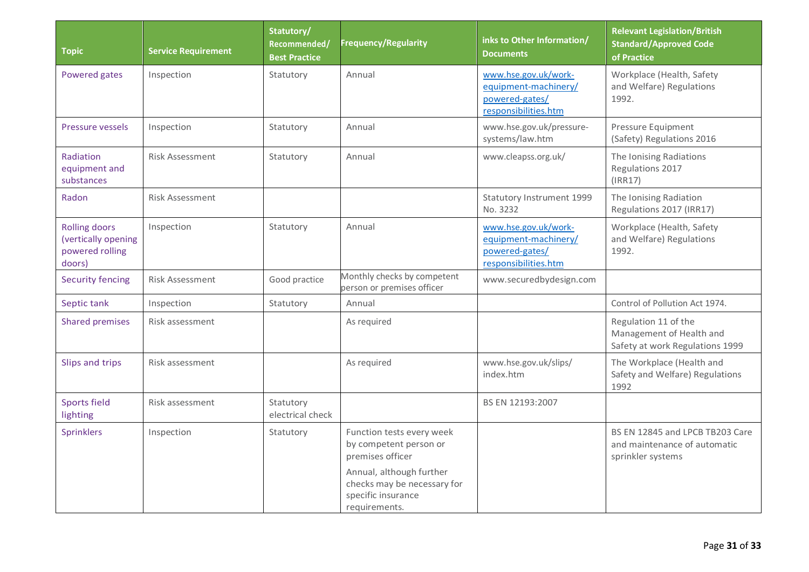| <b>Topic</b>                                                             | <b>Service Requirement</b> | Statutory/<br>Recommended/<br><b>Best Practice</b> | Frequency/Regularity                                                                                                                                                      | inks to Other Information/<br><b>Documents</b>                                         | <b>Relevant Legislation/British</b><br><b>Standard/Approved Code</b><br>of Practice  |
|--------------------------------------------------------------------------|----------------------------|----------------------------------------------------|---------------------------------------------------------------------------------------------------------------------------------------------------------------------------|----------------------------------------------------------------------------------------|--------------------------------------------------------------------------------------|
| Powered gates                                                            | Inspection                 | Statutory                                          | Annual                                                                                                                                                                    | www.hse.gov.uk/work-<br>equipment-machinery/<br>powered-gates/<br>responsibilities.htm | Workplace (Health, Safety<br>and Welfare) Regulations<br>1992.                       |
| <b>Pressure vessels</b>                                                  | Inspection                 | Statutory                                          | Annual                                                                                                                                                                    | www.hse.gov.uk/pressure-<br>systems/law.htm                                            | Pressure Equipment<br>(Safety) Regulations 2016                                      |
| Radiation<br>equipment and<br>substances                                 | <b>Risk Assessment</b>     | Statutory                                          | Annual                                                                                                                                                                    | www.cleapss.org.uk/                                                                    | The Ionising Radiations<br>Regulations 2017<br>(IRR17)                               |
| Radon                                                                    | Risk Assessment            |                                                    |                                                                                                                                                                           | Statutory Instrument 1999<br>No. 3232                                                  | The Ionising Radiation<br>Regulations 2017 (IRR17)                                   |
| <b>Rolling doors</b><br>(vertically opening<br>powered rolling<br>doors) | Inspection                 | Statutory                                          | Annual                                                                                                                                                                    | www.hse.gov.uk/work-<br>equipment-machinery/<br>powered-gates/<br>responsibilities.htm | Workplace (Health, Safety<br>and Welfare) Regulations<br>1992.                       |
| <b>Security fencing</b>                                                  | <b>Risk Assessment</b>     | Good practice                                      | Monthly checks by competent<br>person or premises officer                                                                                                                 | www.securedbydesign.com                                                                |                                                                                      |
| Septic tank                                                              | Inspection                 | Statutory                                          | Annual                                                                                                                                                                    |                                                                                        | Control of Pollution Act 1974.                                                       |
| <b>Shared premises</b>                                                   | Risk assessment            |                                                    | As required                                                                                                                                                               |                                                                                        | Regulation 11 of the<br>Management of Health and<br>Safety at work Regulations 1999  |
| Slips and trips                                                          | Risk assessment            |                                                    | As required                                                                                                                                                               | www.hse.gov.uk/slips/<br>index.htm                                                     | The Workplace (Health and<br>Safety and Welfare) Regulations<br>1992                 |
| <b>Sports field</b><br>lighting                                          | Risk assessment            | Statutory<br>electrical check                      |                                                                                                                                                                           | BS EN 12193:2007                                                                       |                                                                                      |
| Sprinklers                                                               | Inspection                 | Statutory                                          | Function tests every week<br>by competent person or<br>premises officer<br>Annual, although further<br>checks may be necessary for<br>specific insurance<br>requirements. |                                                                                        | BS EN 12845 and LPCB TB203 Care<br>and maintenance of automatic<br>sprinkler systems |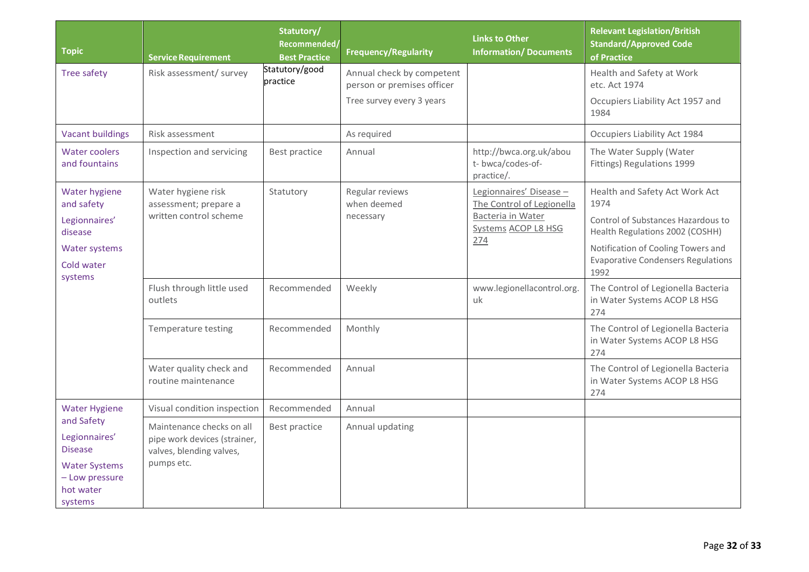| <b>Topic</b>                                                                                                    | <b>Service Requirement</b>                                                                                                                                                             | Statutory/<br>Recommended/<br><b>Best Practice</b>     | <b>Frequency/Regularity</b>                                                          | <b>Links to Other</b><br><b>Information/Documents</b>                                                                                       | <b>Relevant Legislation/British</b><br><b>Standard/Approved Code</b><br>of Practice                                                                                                                                                                                                                                                                                                                                                               |
|-----------------------------------------------------------------------------------------------------------------|----------------------------------------------------------------------------------------------------------------------------------------------------------------------------------------|--------------------------------------------------------|--------------------------------------------------------------------------------------|---------------------------------------------------------------------------------------------------------------------------------------------|---------------------------------------------------------------------------------------------------------------------------------------------------------------------------------------------------------------------------------------------------------------------------------------------------------------------------------------------------------------------------------------------------------------------------------------------------|
| <b>Tree safety</b>                                                                                              | Risk assessment/ survey                                                                                                                                                                | Statutory/good<br>practice                             | Annual check by competent<br>person or premises officer<br>Tree survey every 3 years |                                                                                                                                             | Health and Safety at Work<br>etc. Act 1974<br>Occupiers Liability Act 1957 and<br>1984                                                                                                                                                                                                                                                                                                                                                            |
| <b>Vacant buildings</b>                                                                                         | Risk assessment                                                                                                                                                                        |                                                        | As required                                                                          |                                                                                                                                             | Occupiers Liability Act 1984                                                                                                                                                                                                                                                                                                                                                                                                                      |
| <b>Water coolers</b><br>and fountains                                                                           | Inspection and servicing                                                                                                                                                               | Best practice                                          | Annual                                                                               | http://bwca.org.uk/abou<br>t- bwca/codes-of-<br>practice/.                                                                                  | The Water Supply (Water<br>Fittings) Regulations 1999                                                                                                                                                                                                                                                                                                                                                                                             |
| Water hygiene<br>and safety<br>Legionnaires'<br>disease<br><b>Water systems</b><br>Cold water<br>systems        | Water hygiene risk<br>assessment; prepare a<br>written control scheme<br>Flush through little used<br>outlets<br>Temperature testing<br>Water quality check and<br>routine maintenance | Statutory<br>Recommended<br>Recommended<br>Recommended | Regular reviews<br>when deemed<br>necessary<br>Weekly<br>Monthly<br>Annual           | Legionnaires' Disease -<br>The Control of Legionella<br>Bacteria in Water<br>Systems ACOP L8 HSG<br>274<br>www.legionellacontrol.org.<br>uk | Health and Safety Act Work Act<br>1974<br>Control of Substances Hazardous to<br>Health Regulations 2002 (COSHH)<br>Notification of Cooling Towers and<br><b>Evaporative Condensers Regulations</b><br>1992<br>The Control of Legionella Bacteria<br>in Water Systems ACOP L8 HSG<br>274<br>The Control of Legionella Bacteria<br>in Water Systems ACOP L8 HSG<br>274<br>The Control of Legionella Bacteria<br>in Water Systems ACOP L8 HSG<br>274 |
| <b>Water Hygiene</b>                                                                                            | Visual condition inspection                                                                                                                                                            | Recommended                                            | Annual                                                                               |                                                                                                                                             |                                                                                                                                                                                                                                                                                                                                                                                                                                                   |
| and Safety<br>Legionnaires'<br><b>Disease</b><br><b>Water Systems</b><br>- Low pressure<br>hot water<br>systems | Maintenance checks on all<br>pipe work devices (strainer,<br>valves, blending valves,<br>pumps etc.                                                                                    | Best practice                                          | Annual updating                                                                      |                                                                                                                                             |                                                                                                                                                                                                                                                                                                                                                                                                                                                   |